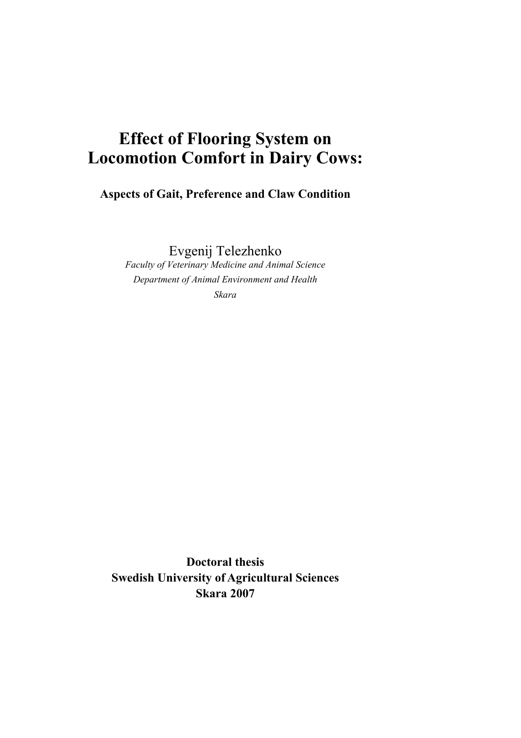# **Effect of Flooring System on Locomotion Comfort in Dairy Cows:**

**Aspects of Gait, Preference and Claw Condition** 

Evgenij Telezhenko

*Faculty of Veterinary Medicine and Animal Science Department of Animal Environment and Health Skara* 

**Doctoral thesis Swedish University of Agricultural Sciences Skara 2007**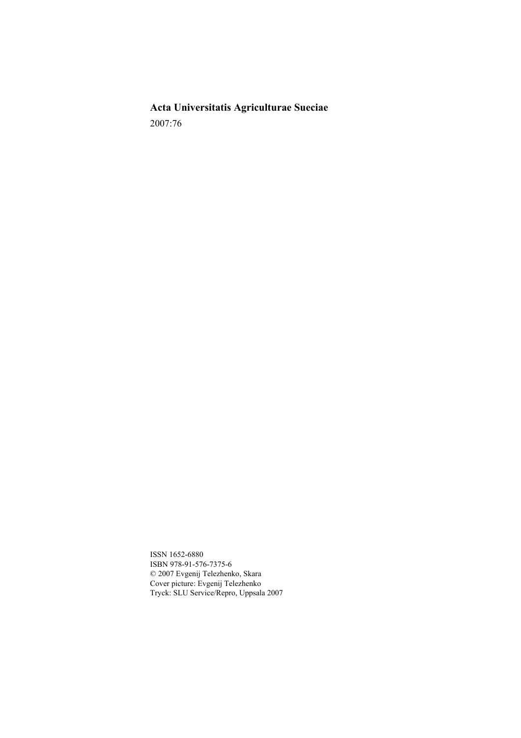**Acta Universitatis Agriculturae Sueciae**  2007:76

ISSN 1652-6880 ISBN 978-91-576-7375-6 © 2007 Evgenij Telezhenko, Skara Cover picture: Evgenij Telezhenko Tryck: SLU Service/Repro, Uppsala 2007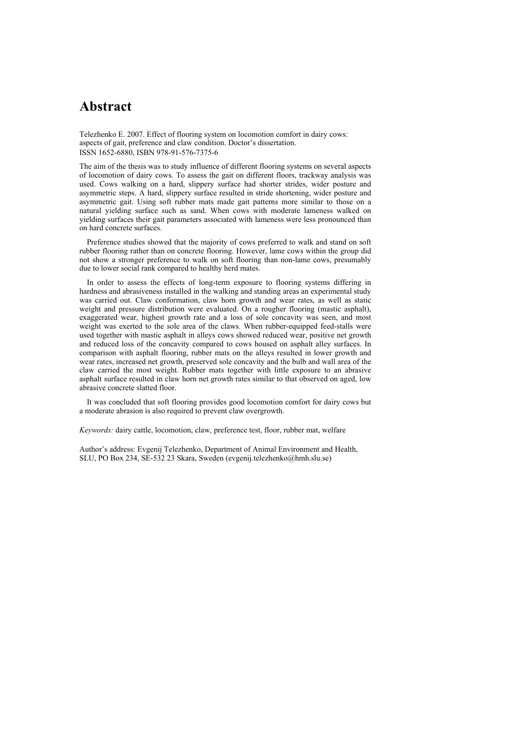## **Abstract**

Telezhenko E. 2007. Effect of flooring system on locomotion comfort in dairy cows: aspects of gait, preference and claw condition. Doctor's dissertation. ISSN 1652-6880, ISBN 978-91-576-7375-6

The aim of the thesis was to study influence of different flooring systems on several aspects of locomotion of dairy cows. To assess the gait on different floors, trackway analysis was used. Cows walking on a hard, slippery surface had shorter strides, wider posture and asymmetric steps. A hard, slippery surface resulted in stride shortening, wider posture and asymmetric gait. Using soft rubber mats made gait patterns more similar to those on a natural yielding surface such as sand. When cows with moderate lameness walked on yielding surfaces their gait parameters associated with lameness were less pronounced than on hard concrete surfaces.

Preference studies showed that the majority of cows preferred to walk and stand on soft rubber flooring rather than on concrete flooring. However, lame cows within the group did not show a stronger preference to walk on soft flooring than non-lame cows, presumably due to lower social rank compared to healthy herd mates.

In order to assess the effects of long-term exposure to flooring systems differing in hardness and abrasiveness installed in the walking and standing areas an experimental study was carried out. Claw conformation, claw horn growth and wear rates, as well as static weight and pressure distribution were evaluated. On a rougher flooring (mastic asphalt), exaggerated wear, highest growth rate and a loss of sole concavity was seen, and most weight was exerted to the sole area of the claws. When rubber-equipped feed-stalls were used together with mastic asphalt in alleys cows showed reduced wear, positive net growth and reduced loss of the concavity compared to cows housed on asphalt alley surfaces. In comparison with asphalt flooring, rubber mats on the alleys resulted in lower growth and wear rates, increased net growth, preserved sole concavity and the bulb and wall area of the claw carried the most weight. Rubber mats together with little exposure to an abrasive asphalt surface resulted in claw horn net growth rates similar to that observed on aged, low abrasive concrete slatted floor.

It was concluded that soft flooring provides good locomotion comfort for dairy cows but a moderate abrasion is also required to prevent claw overgrowth.

*Keywords:* dairy cattle, locomotion, claw, preference test, floor, rubber mat, welfare

Author's address: Evgenij Telezhenko, Department of Animal Environment and Health, SLU, PO Box 234, SE-532 23 Skara, Sweden (evgenij.telezhenko@hmh.slu.se)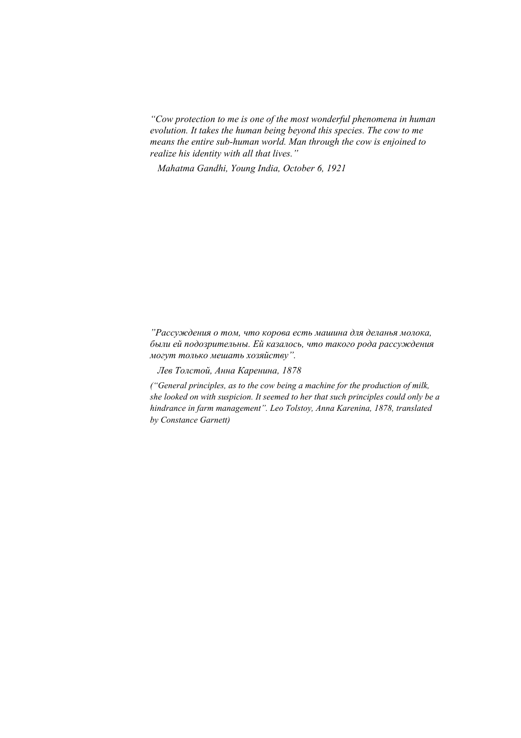*"Cow protection to me is one of the most wonderful phenomena in human evolution. It takes the human being beyond this species. The cow to me means the entire sub-human world. Man through the cow is enjoined to realize his identity with all that lives."* 

*Mahatma Gandhi, Young India, October 6, 1921* 

*"Рассуждения о том, что корова есть машина для деланья молока, были ей подозрительны. Ей казалось, что такого рода рассуждения могут только мешать хозяйству".* 

*Лев Толстой, Анна Каренина, 1878* 

*("General principles, as to the cow being a machine for the production of milk, she looked on with suspicion. It seemed to her that such principles could only be a hindrance in farm management". Leo Tolstoy, Anna Karenina, 1878, translated by Constance Garnett)*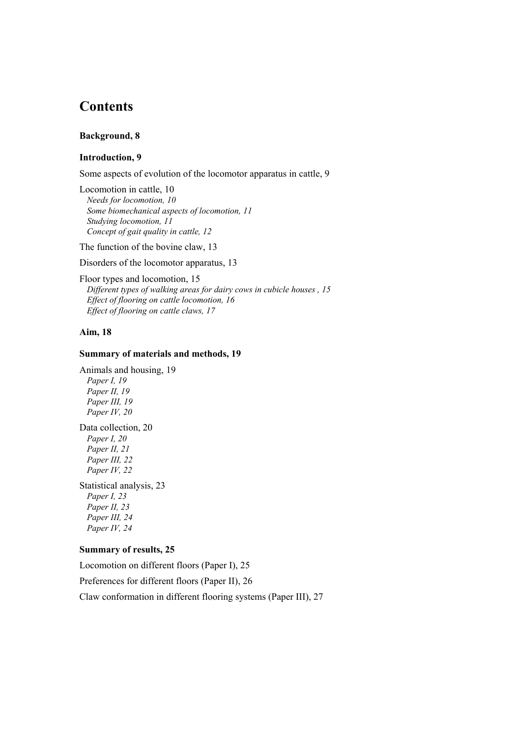## **Contents**

### **Background, 8**

## **Introduction, 9**

Some aspects of evolution of the locomotor apparatus in cattle, 9

Locomotion in cattle, 10 *Needs for locomotion, 10 Some biomechanical aspects of locomotion, 11 Studying locomotion, 11 Concept of gait quality in cattle, 12* 

The function of the bovine claw, 13

Disorders of the locomotor apparatus, 13

Floor types and locomotion, 15 *Different types of walking areas for dairy cows in cubicle houses , 15 Effect of flooring on cattle locomotion, 16 Effect of flooring on cattle claws, 17* 

## **Aim, 18**

#### **Summary of materials and methods, 19**

Animals and housing, 19 *Paper I, 19 Paper II, 19 Paper III, 19 Paper IV, 20*  Data collection, 20

*Paper I, 20 Paper II, 21 Paper III, 22 Paper IV, 22* 

Statistical analysis, 23 *Paper I, 23 Paper II, 23 Paper III, 24 Paper IV, 24* 

### **Summary of results, 25**

Locomotion on different floors (Paper I), 25 Preferences for different floors (Paper II), 26 Claw conformation in different flooring systems (Paper III), 27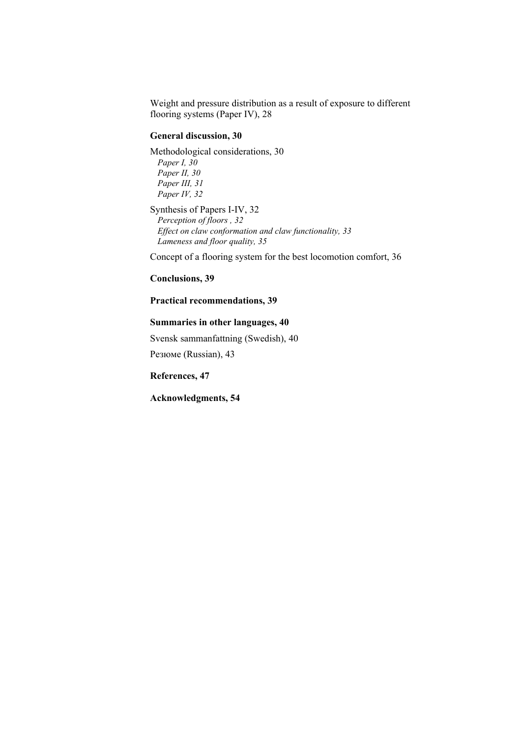Weight and pressure distribution as a result of exposure to different flooring systems (Paper IV), 28

### **General discussion, 30**

Methodological considerations, 30 *Paper I, 30 Paper II, 30 Paper III, 31 Paper IV, 32* 

Synthesis of Papers I-IV, 32 *Perception of floors , 32 Effect on claw conformation and claw functionality, 33 Lameness and floor quality, 35* 

Concept of a flooring system for the best locomotion comfort, 36

**Conclusions, 39** 

### **Practical recommendations, 39**

### **Summaries in other languages, 40**

Svensk sammanfattning (Swedish), 40 Резюме (Russian), 43

**References, 47** 

**Acknowledgments, 54**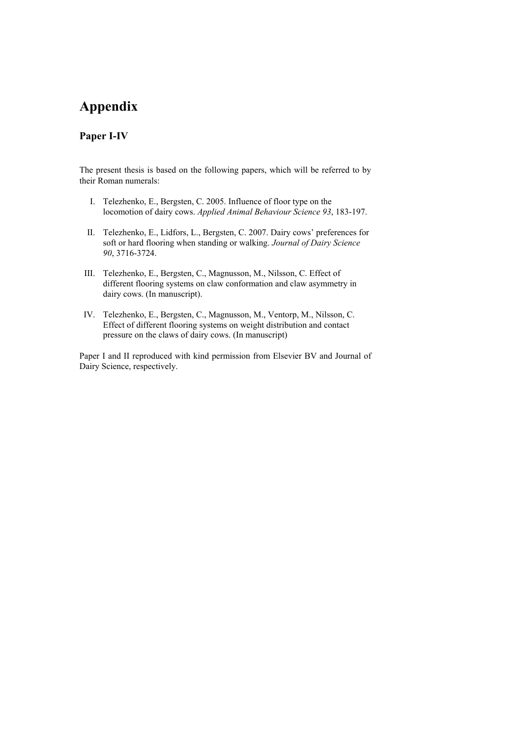## **Appendix**

## **Paper I-IV**

The present thesis is based on the following papers, which will be referred to by their Roman numerals:

- I. Telezhenko, E., Bergsten, C. 2005. Influence of floor type on the locomotion of dairy cows. *Applied Animal Behaviour Science 93*, 183-197.
- II. Telezhenko, E., Lidfors, L., Bergsten, C. 2007. Dairy cows' preferences for soft or hard flooring when standing or walking. *Journal of Dairy Science 90*, 3716-3724.
- III. Telezhenko, E., Bergsten, C., Magnusson, M., Nilsson, C. Effect of different flooring systems on claw conformation and claw asymmetry in dairy cows. (In manuscript).
- IV. Telezhenko, E., Bergsten, C., Magnusson, M., Ventorp, M., Nilsson, C. Effect of different flooring systems on weight distribution and contact pressure on the claws of dairy cows. (In manuscript)

Paper I and II reproduced with kind permission from Elsevier BV and Journal of Dairy Science, respectively.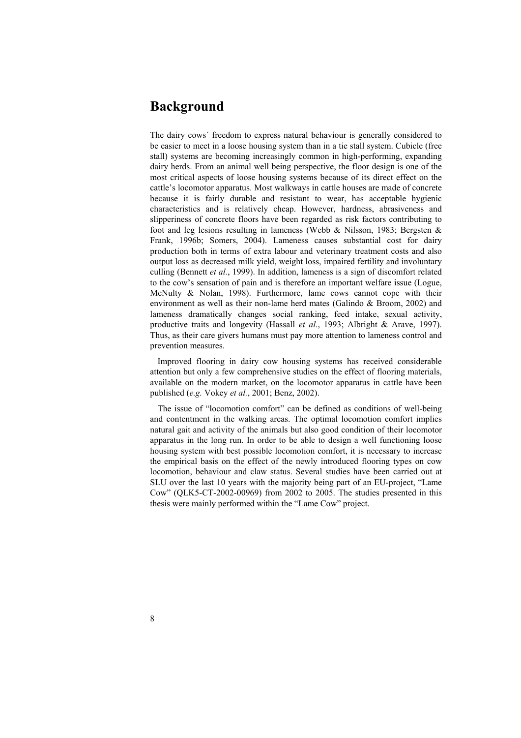## **Background**

The dairy cows´ freedom to express natural behaviour is generally considered to be easier to meet in a loose housing system than in a tie stall system. Cubicle (free stall) systems are becoming increasingly common in high-performing, expanding dairy herds. From an animal well being perspective, the floor design is one of the most critical aspects of loose housing systems because of its direct effect on the cattle's locomotor apparatus. Most walkways in cattle houses are made of concrete because it is fairly durable and resistant to wear, has acceptable hygienic characteristics and is relatively cheap. However, hardness, abrasiveness and slipperiness of concrete floors have been regarded as risk factors contributing to foot and leg lesions resulting in lameness (Webb & Nilsson, 1983; Bergsten & Frank, 1996b; Somers, 2004). Lameness causes substantial cost for dairy production both in terms of extra labour and veterinary treatment costs and also output loss as decreased milk yield, weight loss, impaired fertility and involuntary culling (Bennett *et al.*, 1999). In addition, lameness is a sign of discomfort related to the cow's sensation of pain and is therefore an important welfare issue (Logue, McNulty & Nolan, 1998). Furthermore, lame cows cannot cope with their environment as well as their non-lame herd mates (Galindo & Broom, 2002) and lameness dramatically changes social ranking, feed intake, sexual activity, productive traits and longevity (Hassall *et al*., 1993; Albright & Arave, 1997). Thus, as their care givers humans must pay more attention to lameness control and prevention measures.

Improved flooring in dairy cow housing systems has received considerable attention but only a few comprehensive studies on the effect of flooring materials, available on the modern market, on the locomotor apparatus in cattle have been published (*e.g.* Vokey *et al.*, 2001; Benz, 2002).

The issue of "locomotion comfort" can be defined as conditions of well-being and contentment in the walking areas. The optimal locomotion comfort implies natural gait and activity of the animals but also good condition of their locomotor apparatus in the long run. In order to be able to design a well functioning loose housing system with best possible locomotion comfort, it is necessary to increase the empirical basis on the effect of the newly introduced flooring types on cow locomotion, behaviour and claw status. Several studies have been carried out at SLU over the last 10 years with the majority being part of an EU-project, "Lame Cow" (QLK5-CT-2002-00969) from 2002 to 2005. The studies presented in this thesis were mainly performed within the "Lame Cow" project.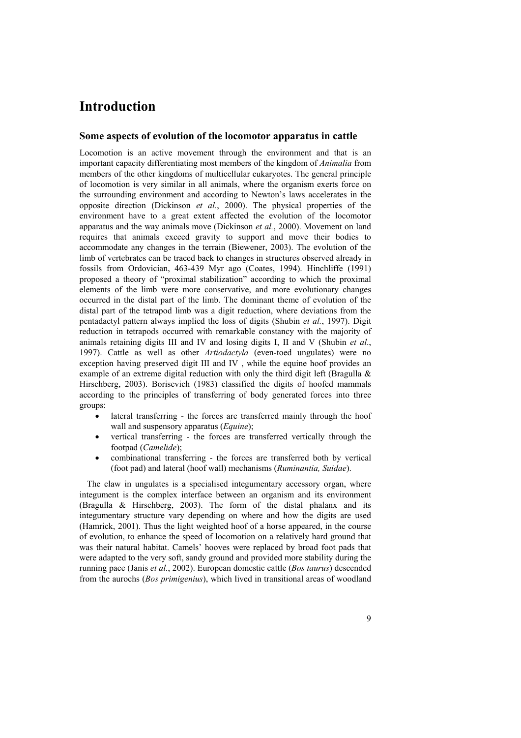## **Introduction**

#### **Some aspects of evolution of the locomotor apparatus in cattle**

Locomotion is an active movement through the environment and that is an important capacity differentiating most members of the kingdom of *Animalia* from members of the other kingdoms of multicellular eukaryotes. The general principle of locomotion is very similar in all animals, where the organism exerts force on the surrounding environment and according to Newton's laws accelerates in the opposite direction (Dickinson *et al.*, 2000). The physical properties of the environment have to a great extent affected the evolution of the locomotor apparatus and the way animals move (Dickinson *et al.*, 2000). Movement on land requires that animals exceed gravity to support and move their bodies to accommodate any changes in the terrain (Biewener, 2003). The evolution of the limb of vertebrates can be traced back to changes in structures observed already in fossils from Ordovician, 463-439 Myr ago (Coates, 1994). Hinchliffe (1991) proposed a theory of "proximal stabilization" according to which the proximal elements of the limb were more conservative, and more evolutionary changes occurred in the distal part of the limb. The dominant theme of evolution of the distal part of the tetrapod limb was a digit reduction, where deviations from the pentadactyl pattern always implied the loss of digits (Shubin *et al.*, 1997). Digit reduction in tetrapods occurred with remarkable constancy with the majority of animals retaining digits III and IV and losing digits I, II and V (Shubin *et al*., 1997). Cattle as well as other *Artiodactyla* (even-toed ungulates) were no exception having preserved digit III and IV , while the equine hoof provides an example of an extreme digital reduction with only the third digit left (Bragulla & Hirschberg, 2003). Borisevich (1983) classified the digits of hoofed mammals according to the principles of transferring of body generated forces into three groups:

- lateral transferring the forces are transferred mainly through the hoof wall and suspensory apparatus (*Equine*);
- vertical transferring the forces are transferred vertically through the footpad (*Camelide*);
- combinational transferring the forces are transferred both by vertical (foot pad) and lateral (hoof wall) mechanisms (*Ruminantia, Suidae*).

The claw in ungulates is a specialised integumentary accessory organ, where integument is the complex interface between an organism and its environment (Bragulla & Hirschberg, 2003). The form of the distal phalanx and its integumentary structure vary depending on where and how the digits are used (Hamrick, 2001). Thus the light weighted hoof of a horse appeared, in the course of evolution, to enhance the speed of locomotion on a relatively hard ground that was their natural habitat. Camels' hooves were replaced by broad foot pads that were adapted to the very soft, sandy ground and provided more stability during the running pace (Janis *et al.*, 2002). European domestic cattle (*Bos taurus*) descended from the aurochs (*Bos primigenius*), which lived in transitional areas of woodland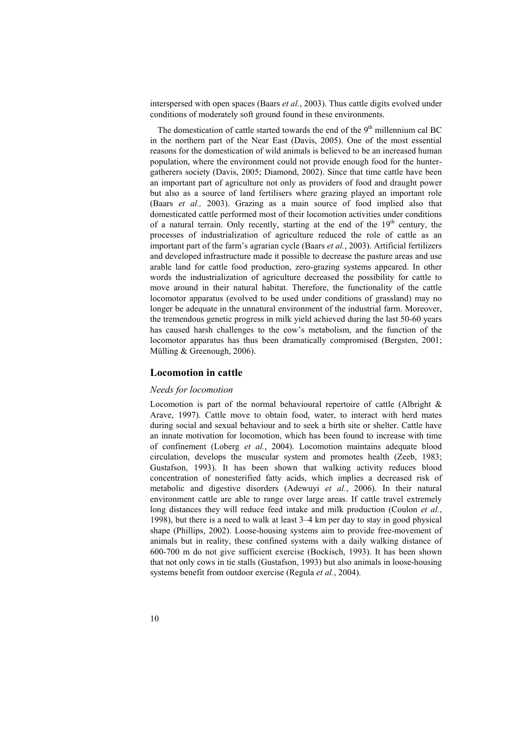interspersed with open spaces (Baars *et al.*, 2003). Thus cattle digits evolved under conditions of moderately soft ground found in these environments.

The domestication of cattle started towards the end of the  $9<sup>th</sup>$  millennium cal BC in the northern part of the Near East (Davis, 2005). One of the most essential reasons for the domestication of wild animals is believed to be an increased human population, where the environment could not provide enough food for the huntergatherers society (Davis, 2005; Diamond, 2002). Since that time cattle have been an important part of agriculture not only as providers of food and draught power but also as a source of land fertilisers where grazing played an important role (Baars *et al.,* 2003). Grazing as a main source of food implied also that domesticated cattle performed most of their locomotion activities under conditions of a natural terrain. Only recently, starting at the end of the  $19<sup>th</sup>$  century, the processes of industrialization of agriculture reduced the role of cattle as an important part of the farm's agrarian cycle (Baars *et al.*, 2003). Artificial fertilizers and developed infrastructure made it possible to decrease the pasture areas and use arable land for cattle food production, zero-grazing systems appeared. In other words the industrialization of agriculture decreased the possibility for cattle to move around in their natural habitat. Therefore, the functionality of the cattle locomotor apparatus (evolved to be used under conditions of grassland) may no longer be adequate in the unnatural environment of the industrial farm. Moreover, the tremendous genetic progress in milk yield achieved during the last 50-60 years has caused harsh challenges to the cow's metabolism, and the function of the locomotor apparatus has thus been dramatically compromised (Bergsten, 2001; Mülling & Greenough, 2006).

#### **Locomotion in cattle**

#### *Needs for locomotion*

Locomotion is part of the normal behavioural repertoire of cattle (Albright & Arave, 1997). Cattle move to obtain food, water, to interact with herd mates during social and sexual behaviour and to seek a birth site or shelter. Cattle have an innate motivation for locomotion, which has been found to increase with time of confinement (Loberg *et al.*, 2004). Locomotion maintains adequate blood circulation, develops the muscular system and promotes health (Zeeb, 1983; Gustafson, 1993). It has been shown that walking activity reduces blood concentration of nonesterified fatty acids, which implies a decreased risk of metabolic and digestive disorders (Adewuyi *et al.*, 2006). In their natural environment cattle are able to range over large areas. If cattle travel extremely long distances they will reduce feed intake and milk production (Coulon *et al.*, 1998), but there is a need to walk at least 3–4 km per day to stay in good physical shape (Phillips, 2002). Loose-housing systems aim to provide free-movement of animals but in reality, these confined systems with a daily walking distance of 600-700 m do not give sufficient exercise (Bockisch, 1993). It has been shown that not only cows in tie stalls (Gustafson, 1993) but also animals in loose-housing systems benefit from outdoor exercise (Regula *et al.*, 2004).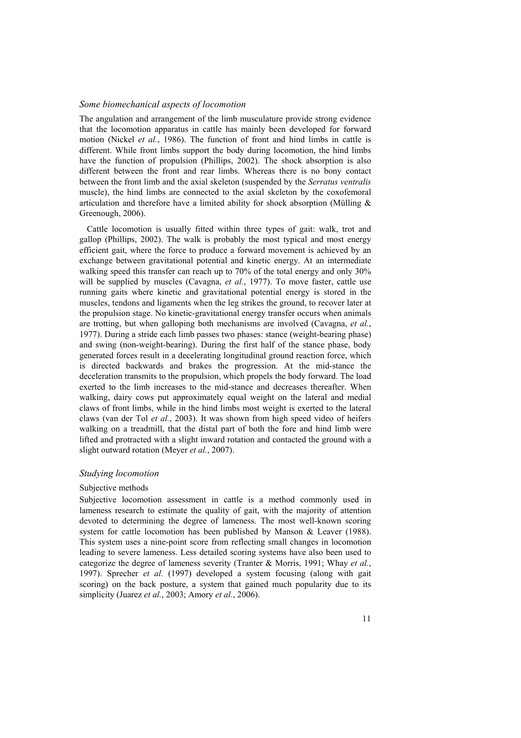#### *Some biomechanical aspects of locomotion*

The angulation and arrangement of the limb musculature provide strong evidence that the locomotion apparatus in cattle has mainly been developed for forward motion (Nickel *et al.*, 1986). The function of front and hind limbs in cattle is different. While front limbs support the body during locomotion, the hind limbs have the function of propulsion (Phillips, 2002). The shock absorption is also different between the front and rear limbs. Whereas there is no bony contact between the front limb and the axial skeleton (suspended by the *Serratus ventralis* muscle), the hind limbs are connected to the axial skeleton by the coxofemoral articulation and therefore have a limited ability for shock absorption (Mülling  $\&$ Greenough, 2006).

Cattle locomotion is usually fitted within three types of gait: walk, trot and gallop (Phillips, 2002). The walk is probably the most typical and most energy efficient gait, where the force to produce a forward movement is achieved by an exchange between gravitational potential and kinetic energy. At an intermediate walking speed this transfer can reach up to 70% of the total energy and only 30% will be supplied by muscles (Cavagna, *et al.*, 1977). To move faster, cattle use running gaits where kinetic and gravitational potential energy is stored in the muscles, tendons and ligaments when the leg strikes the ground, to recover later at the propulsion stage. No kinetic-gravitational energy transfer occurs when animals are trotting, but when galloping both mechanisms are involved (Cavagna, *et al.*, 1977). During a stride each limb passes two phases: stance (weight-bearing phase) and swing (non-weight-bearing). During the first half of the stance phase, body generated forces result in a decelerating longitudinal ground reaction force, which is directed backwards and brakes the progression. At the mid-stance the deceleration transmits to the propulsion, which propels the body forward. The load exerted to the limb increases to the mid-stance and decreases thereafter. When walking, dairy cows put approximately equal weight on the lateral and medial claws of front limbs, while in the hind limbs most weight is exerted to the lateral claws (van der Tol *et al.*, 2003). It was shown from high speed video of heifers walking on a treadmill, that the distal part of both the fore and hind limb were lifted and protracted with a slight inward rotation and contacted the ground with a slight outward rotation (Meyer *et al.*, 2007).

#### *Studying locomotion*

#### Subjective methods

Subjective locomotion assessment in cattle is a method commonly used in lameness research to estimate the quality of gait, with the majority of attention devoted to determining the degree of lameness. The most well-known scoring system for cattle locomotion has been published by Manson & Leaver (1988). This system uses a nine-point score from reflecting small changes in locomotion leading to severe lameness. Less detailed scoring systems have also been used to categorize the degree of lameness severity (Tranter & Morris, 1991; Whay *et al.*, 1997). Sprecher *et al.* (1997) developed a system focusing (along with gait scoring) on the back posture, a system that gained much popularity due to its simplicity (Juarez *et al.*, 2003; Amory *et al.*, 2006).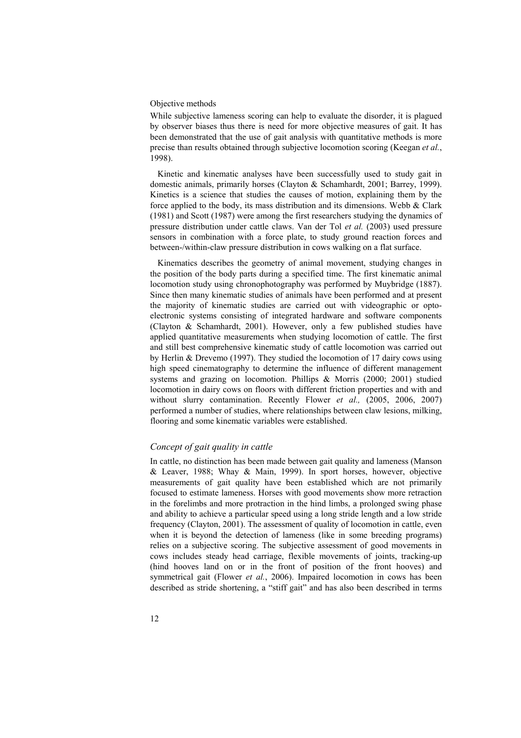#### Objective methods

While subjective lameness scoring can help to evaluate the disorder, it is plagued by observer biases thus there is need for more objective measures of gait. It has been demonstrated that the use of gait analysis with quantitative methods is more precise than results obtained through subjective locomotion scoring (Keegan *et al.*, 1998).

Kinetic and kinematic analyses have been successfully used to study gait in domestic animals, primarily horses (Clayton & Schamhardt, 2001; Barrey, 1999). Kinetics is a science that studies the causes of motion, explaining them by the force applied to the body, its mass distribution and its dimensions. Webb & Clark (1981) and Scott (1987) were among the first researchers studying the dynamics of pressure distribution under cattle claws. Van der Tol *et al.* (2003) used pressure sensors in combination with a force plate, to study ground reaction forces and between-/within-claw pressure distribution in cows walking on a flat surface.

Kinematics describes the geometry of animal movement, studying changes in the position of the body parts during a specified time. The first kinematic animal locomotion study using chronophotography was performed by Muybridge (1887). Since then many kinematic studies of animals have been performed and at present the majority of kinematic studies are carried out with videographic or optoelectronic systems consisting of integrated hardware and software components (Clayton & Schamhardt, 2001). However, only a few published studies have applied quantitative measurements when studying locomotion of cattle. The first and still best comprehensive kinematic study of cattle locomotion was carried out by Herlin & Drevemo (1997). They studied the locomotion of 17 dairy cows using high speed cinematography to determine the influence of different management systems and grazing on locomotion. Phillips & Morris (2000; 2001) studied locomotion in dairy cows on floors with different friction properties and with and without slurry contamination. Recently Flower *et al.,* (2005, 2006, 2007) performed a number of studies, where relationships between claw lesions, milking, flooring and some kinematic variables were established.

### *Concept of gait quality in cattle*

In cattle, no distinction has been made between gait quality and lameness (Manson & Leaver, 1988; Whay & Main, 1999). In sport horses, however, objective measurements of gait quality have been established which are not primarily focused to estimate lameness. Horses with good movements show more retraction in the forelimbs and more protraction in the hind limbs, a prolonged swing phase and ability to achieve a particular speed using a long stride length and a low stride frequency (Clayton, 2001). The assessment of quality of locomotion in cattle, even when it is beyond the detection of lameness (like in some breeding programs) relies on a subjective scoring. The subjective assessment of good movements in cows includes steady head carriage, flexible movements of joints, tracking-up (hind hooves land on or in the front of position of the front hooves) and symmetrical gait (Flower *et al.*, 2006). Impaired locomotion in cows has been described as stride shortening, a "stiff gait" and has also been described in terms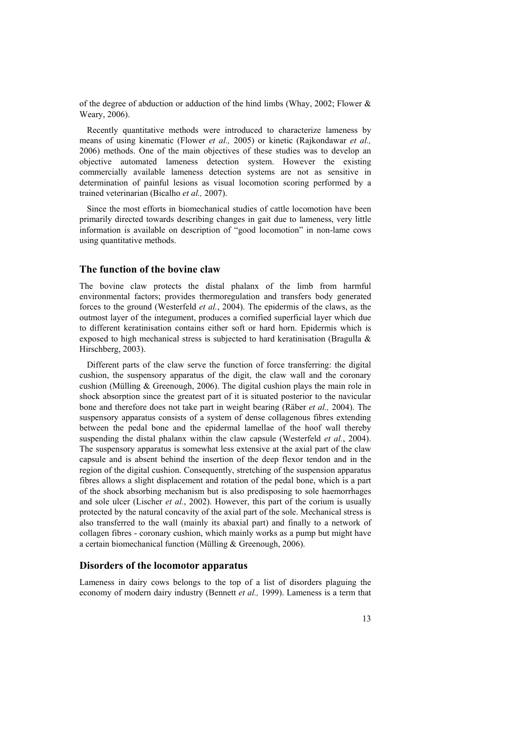of the degree of abduction or adduction of the hind limbs (Whay, 2002; Flower  $\&$ Weary, 2006).

Recently quantitative methods were introduced to characterize lameness by means of using kinematic (Flower *et al.,* 2005) or kinetic (Rajkondawar *et al.,* 2006) methods. One of the main objectives of these studies was to develop an objective automated lameness detection system. However the existing commercially available lameness detection systems are not as sensitive in determination of painful lesions as visual locomotion scoring performed by a trained veterinarian (Bicalho *et al.,* 2007).

Since the most efforts in biomechanical studies of cattle locomotion have been primarily directed towards describing changes in gait due to lameness, very little information is available on description of "good locomotion" in non-lame cows using quantitative methods.

#### **The function of the bovine claw**

The bovine claw protects the distal phalanx of the limb from harmful environmental factors; provides thermoregulation and transfers body generated forces to the ground (Westerfeld *et al.*, 2004). The epidermis of the claws, as the outmost layer of the integument, produces a cornified superficial layer which due to different keratinisation contains either soft or hard horn. Epidermis which is exposed to high mechanical stress is subjected to hard keratinisation (Bragulla & Hirschberg, 2003).

Different parts of the claw serve the function of force transferring: the digital cushion, the suspensory apparatus of the digit, the claw wall and the coronary cushion (Mülling & Greenough, 2006). The digital cushion plays the main role in shock absorption since the greatest part of it is situated posterior to the navicular bone and therefore does not take part in weight bearing (Räber *et al.,* 2004). The suspensory apparatus consists of a system of dense collagenous fibres extending between the pedal bone and the epidermal lamellae of the hoof wall thereby suspending the distal phalanx within the claw capsule (Westerfeld *et al.*, 2004). The suspensory apparatus is somewhat less extensive at the axial part of the claw capsule and is absent behind the insertion of the deep flexor tendon and in the region of the digital cushion. Consequently, stretching of the suspension apparatus fibres allows a slight displacement and rotation of the pedal bone, which is a part of the shock absorbing mechanism but is also predisposing to sole haemorrhages and sole ulcer (Lischer *et al.*, 2002). However, this part of the corium is usually protected by the natural concavity of the axial part of the sole. Mechanical stress is also transferred to the wall (mainly its abaxial part) and finally to a network of collagen fibres - coronary cushion, which mainly works as a pump but might have a certain biomechanical function (Mülling & Greenough, 2006).

#### **Disorders of the locomotor apparatus**

Lameness in dairy cows belongs to the top of a list of disorders plaguing the economy of modern dairy industry (Bennett *et al.,* 1999). Lameness is a term that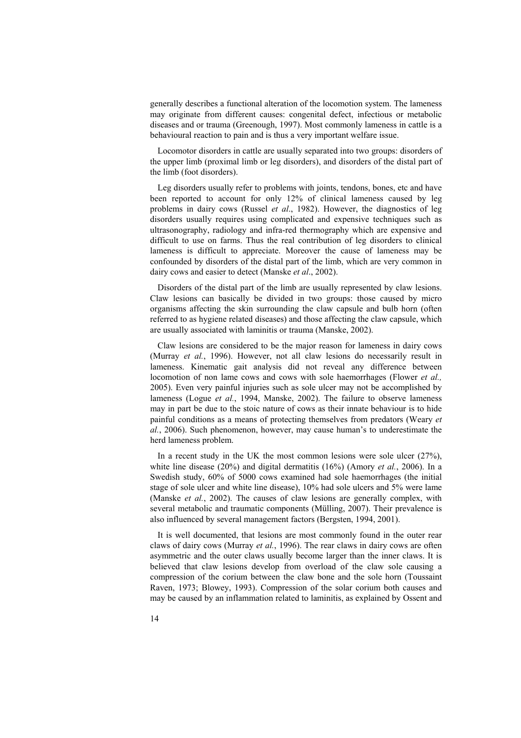generally describes a functional alteration of the locomotion system. The lameness may originate from different causes: congenital defect, infectious or metabolic diseases and or trauma (Greenough, 1997). Most commonly lameness in cattle is a behavioural reaction to pain and is thus a very important welfare issue.

Locomotor disorders in cattle are usually separated into two groups: disorders of the upper limb (proximal limb or leg disorders), and disorders of the distal part of the limb (foot disorders).

Leg disorders usually refer to problems with joints, tendons, bones, etc and have been reported to account for only 12% of clinical lameness caused by leg problems in dairy cows (Russel *et al*., 1982). However, the diagnostics of leg disorders usually requires using complicated and expensive techniques such as ultrasonography, radiology and infra-red thermography which are expensive and difficult to use on farms. Thus the real contribution of leg disorders to clinical lameness is difficult to appreciate. Moreover the cause of lameness may be confounded by disorders of the distal part of the limb, which are very common in dairy cows and easier to detect (Manske *et al*., 2002).

Disorders of the distal part of the limb are usually represented by claw lesions. Claw lesions can basically be divided in two groups: those caused by micro organisms affecting the skin surrounding the claw capsule and bulb horn (often referred to as hygiene related diseases) and those affecting the claw capsule, which are usually associated with laminitis or trauma (Manske, 2002).

Claw lesions are considered to be the major reason for lameness in dairy cows (Murray *et al.*, 1996). However, not all claw lesions do necessarily result in lameness. Kinematic gait analysis did not reveal any difference between locomotion of non lame cows and cows with sole haemorrhages (Flower *et al.,*  2005). Even very painful injuries such as sole ulcer may not be accomplished by lameness (Logue *et al.*, 1994, Manske, 2002). The failure to observe lameness may in part be due to the stoic nature of cows as their innate behaviour is to hide painful conditions as a means of protecting themselves from predators (Weary *et al.*, 2006). Such phenomenon, however, may cause human's to underestimate the herd lameness problem.

In a recent study in the UK the most common lesions were sole ulcer  $(27%)$ , white line disease (20%) and digital dermatitis (16%) (Amory *et al.*, 2006). In a Swedish study, 60% of 5000 cows examined had sole haemorrhages (the initial stage of sole ulcer and white line disease), 10% had sole ulcers and 5% were lame (Manske *et al.*, 2002). The causes of claw lesions are generally complex, with several metabolic and traumatic components (Mülling, 2007). Their prevalence is also influenced by several management factors (Bergsten, 1994, 2001).

It is well documented, that lesions are most commonly found in the outer rear claws of dairy cows (Murray *et al.*, 1996). The rear claws in dairy cows are often asymmetric and the outer claws usually become larger than the inner claws. It is believed that claw lesions develop from overload of the claw sole causing a compression of the corium between the claw bone and the sole horn (Toussaint Raven, 1973; Blowey, 1993). Compression of the solar corium both causes and may be caused by an inflammation related to laminitis, as explained by Ossent and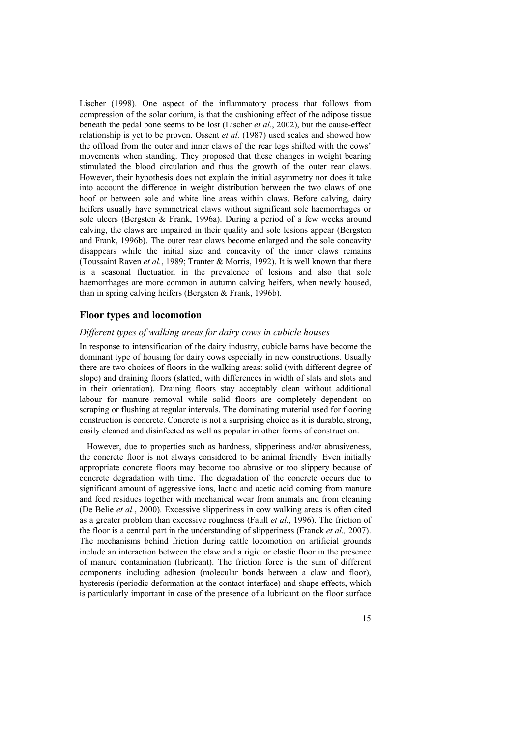Lischer (1998). One aspect of the inflammatory process that follows from compression of the solar corium, is that the cushioning effect of the adipose tissue beneath the pedal bone seems to be lost (Lischer *et al.*, 2002), but the cause-effect relationship is yet to be proven. Ossent *et al.* (1987) used scales and showed how the offload from the outer and inner claws of the rear legs shifted with the cows' movements when standing. They proposed that these changes in weight bearing stimulated the blood circulation and thus the growth of the outer rear claws. However, their hypothesis does not explain the initial asymmetry nor does it take into account the difference in weight distribution between the two claws of one hoof or between sole and white line areas within claws. Before calving, dairy heifers usually have symmetrical claws without significant sole haemorrhages or sole ulcers (Bergsten & Frank, 1996a). During a period of a few weeks around calving, the claws are impaired in their quality and sole lesions appear (Bergsten and Frank, 1996b). The outer rear claws become enlarged and the sole concavity disappears while the initial size and concavity of the inner claws remains (Toussaint Raven *et al.*, 1989; Tranter & Morris, 1992). It is well known that there is a seasonal fluctuation in the prevalence of lesions and also that sole haemorrhages are more common in autumn calving heifers, when newly housed, than in spring calving heifers (Bergsten & Frank, 1996b).

#### **Floor types and locomotion**

#### *Different types of walking areas for dairy cows in cubicle houses*

In response to intensification of the dairy industry, cubicle barns have become the dominant type of housing for dairy cows especially in new constructions. Usually there are two choices of floors in the walking areas: solid (with different degree of slope) and draining floors (slatted, with differences in width of slats and slots and in their orientation). Draining floors stay acceptably clean without additional labour for manure removal while solid floors are completely dependent on scraping or flushing at regular intervals. The dominating material used for flooring construction is concrete. Concrete is not a surprising choice as it is durable, strong, easily cleaned and disinfected as well as popular in other forms of construction.

However, due to properties such as hardness, slipperiness and/or abrasiveness, the concrete floor is not always considered to be animal friendly. Even initially appropriate concrete floors may become too abrasive or too slippery because of concrete degradation with time. The degradation of the concrete occurs due to significant amount of aggressive ions, lactic and acetic acid coming from manure and feed residues together with mechanical wear from animals and from cleaning (De Belie *et al.*, 2000). Excessive slipperiness in cow walking areas is often cited as a greater problem than excessive roughness (Faull *et al.*, 1996). The friction of the floor is a central part in the understanding of slipperiness (Franck *et al.,* 2007). The mechanisms behind friction during cattle locomotion on artificial grounds include an interaction between the claw and a rigid or elastic floor in the presence of manure contamination (lubricant). The friction force is the sum of different components including adhesion (molecular bonds between a claw and floor), hysteresis (periodic deformation at the contact interface) and shape effects, which is particularly important in case of the presence of a lubricant on the floor surface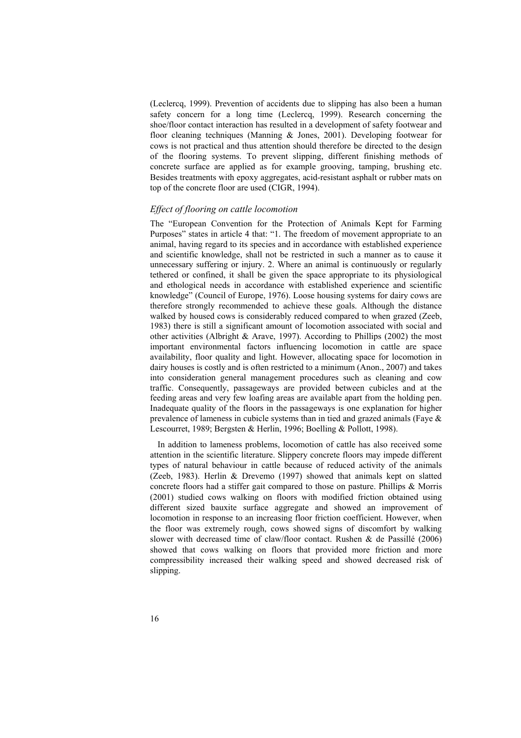(Leclercq, 1999). Prevention of accidents due to slipping has also been a human safety concern for a long time (Leclercq, 1999). Research concerning the shoe/floor contact interaction has resulted in a development of safety footwear and floor cleaning techniques (Manning & Jones, 2001). Developing footwear for cows is not practical and thus attention should therefore be directed to the design of the flooring systems. To prevent slipping, different finishing methods of concrete surface are applied as for example grooving, tamping, brushing etc. Besides treatments with epoxy aggregates, acid-resistant asphalt or rubber mats on top of the concrete floor are used (CIGR, 1994).

#### *Effect of flooring on cattle locomotion*

The "European Convention for the Protection of Animals Kept for Farming Purposes" states in article 4 that: "1. The freedom of movement appropriate to an animal, having regard to its species and in accordance with established experience and scientific knowledge, shall not be restricted in such a manner as to cause it unnecessary suffering or injury. 2. Where an animal is continuously or regularly tethered or confined, it shall be given the space appropriate to its physiological and ethological needs in accordance with established experience and scientific knowledge" (Council of Europe, 1976). Loose housing systems for dairy cows are therefore strongly recommended to achieve these goals. Although the distance walked by housed cows is considerably reduced compared to when grazed (Zeeb, 1983) there is still a significant amount of locomotion associated with social and other activities (Albright & Arave, 1997). According to Phillips (2002) the most important environmental factors influencing locomotion in cattle are space availability, floor quality and light. However, allocating space for locomotion in dairy houses is costly and is often restricted to a minimum (Anon., 2007) and takes into consideration general management procedures such as cleaning and cow traffic. Consequently, passageways are provided between cubicles and at the feeding areas and very few loafing areas are available apart from the holding pen. Inadequate quality of the floors in the passageways is one explanation for higher prevalence of lameness in cubicle systems than in tied and grazed animals (Faye & Lescourret, 1989; Bergsten & Herlin, 1996; Boelling & Pollott, 1998).

In addition to lameness problems, locomotion of cattle has also received some attention in the scientific literature. Slippery concrete floors may impede different types of natural behaviour in cattle because of reduced activity of the animals (Zeeb, 1983). Herlin & Drevemo (1997) showed that animals kept on slatted concrete floors had a stiffer gait compared to those on pasture. Phillips & Morris (2001) studied cows walking on floors with modified friction obtained using different sized bauxite surface aggregate and showed an improvement of locomotion in response to an increasing floor friction coefficient. However, when the floor was extremely rough, cows showed signs of discomfort by walking slower with decreased time of claw/floor contact. Rushen & de Passillé (2006) showed that cows walking on floors that provided more friction and more compressibility increased their walking speed and showed decreased risk of slipping.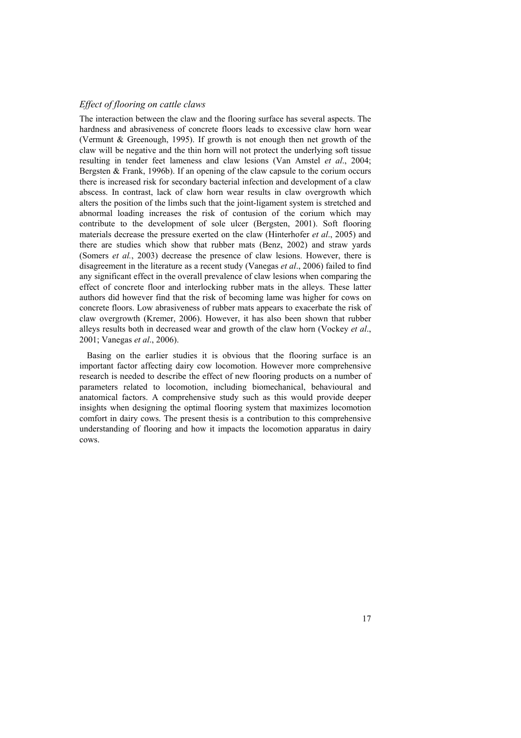### *Effect of flooring on cattle claws*

The interaction between the claw and the flooring surface has several aspects. The hardness and abrasiveness of concrete floors leads to excessive claw horn wear (Vermunt & Greenough, 1995). If growth is not enough then net growth of the claw will be negative and the thin horn will not protect the underlying soft tissue resulting in tender feet lameness and claw lesions (Van Amstel *et al*., 2004; Bergsten & Frank, 1996b). If an opening of the claw capsule to the corium occurs there is increased risk for secondary bacterial infection and development of a claw abscess. In contrast, lack of claw horn wear results in claw overgrowth which alters the position of the limbs such that the joint-ligament system is stretched and abnormal loading increases the risk of contusion of the corium which may contribute to the development of sole ulcer (Bergsten, 2001). Soft flooring materials decrease the pressure exerted on the claw (Hinterhofer *et al*., 2005) and there are studies which show that rubber mats (Benz, 2002) and straw yards (Somers *et al.*, 2003) decrease the presence of claw lesions. However, there is disagreement in the literature as a recent study (Vanegas *et al*., 2006) failed to find any significant effect in the overall prevalence of claw lesions when comparing the effect of concrete floor and interlocking rubber mats in the alleys. These latter authors did however find that the risk of becoming lame was higher for cows on concrete floors. Low abrasiveness of rubber mats appears to exacerbate the risk of claw overgrowth (Kremer, 2006). However, it has also been shown that rubber alleys results both in decreased wear and growth of the claw horn (Vockey *et al*., 2001; Vanegas *et al*., 2006).

Basing on the earlier studies it is obvious that the flooring surface is an important factor affecting dairy cow locomotion. However more comprehensive research is needed to describe the effect of new flooring products on a number of parameters related to locomotion, including biomechanical, behavioural and anatomical factors. A comprehensive study such as this would provide deeper insights when designing the optimal flooring system that maximizes locomotion comfort in dairy cows. The present thesis is a contribution to this comprehensive understanding of flooring and how it impacts the locomotion apparatus in dairy cows.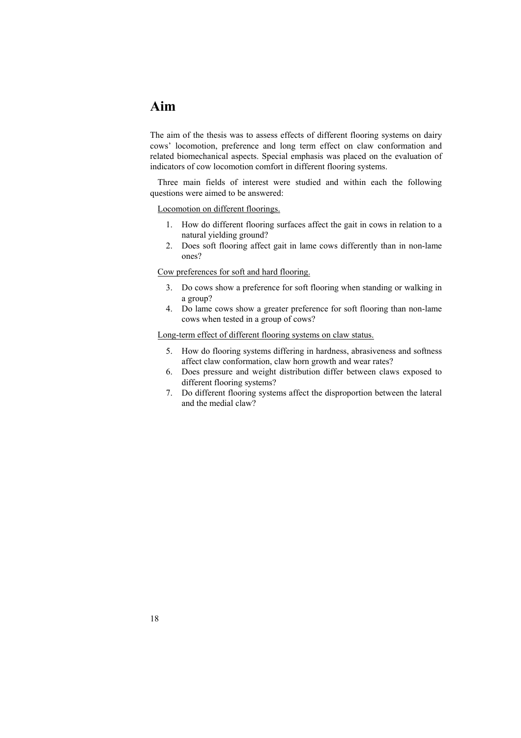## **Aim**

The aim of the thesis was to assess effects of different flooring systems on dairy cows' locomotion, preference and long term effect on claw conformation and related biomechanical aspects. Special emphasis was placed on the evaluation of indicators of cow locomotion comfort in different flooring systems.

Three main fields of interest were studied and within each the following questions were aimed to be answered:

#### Locomotion on different floorings.

- 1. How do different flooring surfaces affect the gait in cows in relation to a natural yielding ground?
- 2. Does soft flooring affect gait in lame cows differently than in non-lame ones?

#### Cow preferences for soft and hard flooring.

- 3. Do cows show a preference for soft flooring when standing or walking in a group?
- 4. Do lame cows show a greater preference for soft flooring than non-lame cows when tested in a group of cows?

### Long-term effect of different flooring systems on claw status.

- 5. How do flooring systems differing in hardness, abrasiveness and softness affect claw conformation, claw horn growth and wear rates?
- 6. Does pressure and weight distribution differ between claws exposed to different flooring systems?
- 7. Do different flooring systems affect the disproportion between the lateral and the medial claw?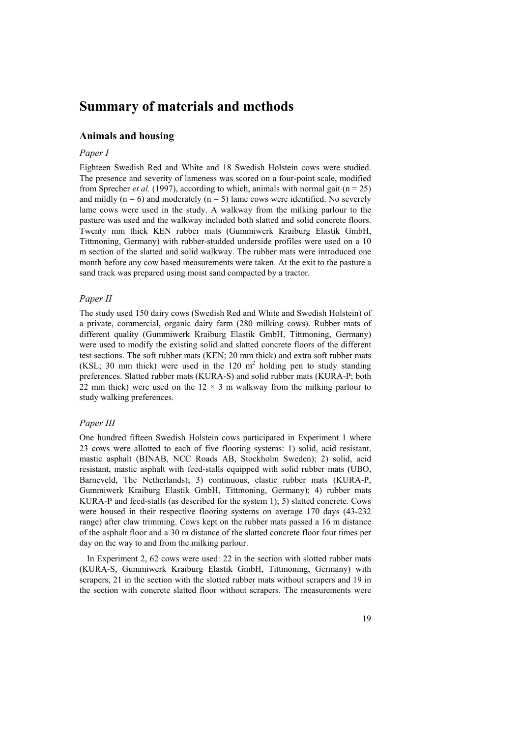## **Summary of materials and methods**

### **Animals and housing**

### *Paper I*

Eighteen Swedish Red and White and 18 Swedish Holstein cows were studied. The presence and severity of lameness was scored on a four-point scale, modified from Sprecher *et al.* (1997), according to which, animals with normal gait ( $n = 25$ ) and mildly ( $n = 6$ ) and moderately ( $n = 5$ ) lame cows were identified. No severely lame cows were used in the study. A walkway from the milking parlour to the pasture was used and the walkway included both slatted and solid concrete floors. Twenty mm thick KEN rubber mats (Gummiwerk Kraiburg Elastik GmbH, Tittmoning, Germany) with rubber-studded underside profiles were used on a 10 m section of the slatted and solid walkway. The rubber mats were introduced one month before any cow based measurements were taken. At the exit to the pasture a sand track was prepared using moist sand compacted by a tractor.

### *Paper II*

The study used 150 dairy cows (Swedish Red and White and Swedish Holstein) of a private, commercial, organic dairy farm (280 milking cows). Rubber mats of different quality (Gummiwerk Kraiburg Elastik GmbH, Tittmoning, Germany) were used to modify the existing solid and slatted concrete floors of the different test sections. The soft rubber mats (KEN; 20 mm thick) and extra soft rubber mats (KSL; 30 mm thick) were used in the  $120 \text{ m}^2$  holding pen to study standing preferences. Slatted rubber mats (KURA-S) and solid rubber mats (KURA-P; both 22 mm thick) were used on the  $12 \times 3$  m walkway from the milking parlour to study walking preferences.

#### *Paper III*

One hundred fifteen Swedish Holstein cows participated in Experiment 1 where 23 cows were allotted to each of five flooring systems: 1) solid, acid resistant, mastic asphalt (BINAB, NCC Roads AB, Stockholm Sweden); 2) solid, acid resistant, mastic asphalt with feed-stalls equipped with solid rubber mats (UBO, Barneveld, The Netherlands); 3) continuous, elastic rubber mats (KURA-P, Gummiwerk Kraiburg Elastik GmbH, Tittmoning, Germany); 4) rubber mats KURA-P and feed-stalls (as described for the system 1); 5) slatted concrete. Cows were housed in their respective flooring systems on average 170 days (43-232 range) after claw trimming. Cows kept on the rubber mats passed a 16 m distance of the asphalt floor and a 30 m distance of the slatted concrete floor four times per day on the way to and from the milking parlour.

In Experiment 2, 62 cows were used: 22 in the section with slotted rubber mats (KURA-S, Gummiwerk Kraiburg Elastik GmbH, Tittmoning, Germany) with scrapers, 21 in the section with the slotted rubber mats without scrapers and 19 in the section with concrete slatted floor without scrapers. The measurements were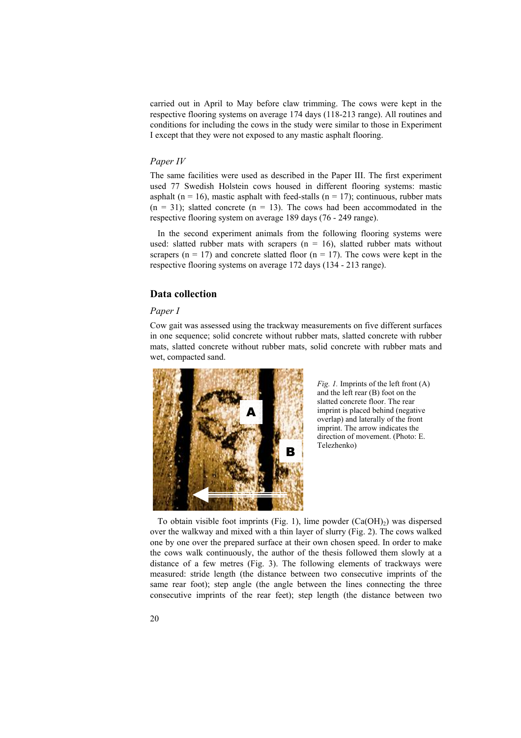carried out in April to May before claw trimming. The cows were kept in the respective flooring systems on average 174 days (118-213 range). All routines and conditions for including the cows in the study were similar to those in Experiment I except that they were not exposed to any mastic asphalt flooring.

#### *Paper IV*

The same facilities were used as described in the Paper III. The first experiment used 77 Swedish Holstein cows housed in different flooring systems: mastic asphalt ( $n = 16$ ), mastic asphalt with feed-stalls ( $n = 17$ ); continuous, rubber mats  $(n = 31)$ ; slatted concrete  $(n = 13)$ . The cows had been accommodated in the respective flooring system on average 189 days (76 - 249 range).

In the second experiment animals from the following flooring systems were used: slatted rubber mats with scrapers ( $n = 16$ ), slatted rubber mats without scrapers ( $n = 17$ ) and concrete slatted floor ( $n = 17$ ). The cows were kept in the respective flooring systems on average 172 days (134 - 213 range).

#### **Data collection**

#### *Paper I*

Cow gait was assessed using the trackway measurements on five different surfaces in one sequence; solid concrete without rubber mats, slatted concrete with rubber mats, slatted concrete without rubber mats, solid concrete with rubber mats and wet, compacted sand.



*Fig. 1.* Imprints of the left front (A) and the left rear (B) foot on the slatted concrete floor. The rear imprint is placed behind (negative overlap) and laterally of the front imprint. The arrow indicates the direction of movement. (Photo: E. Telezhenko)

To obtain visible foot imprints (Fig. 1), lime powder  $(Ca(OH)_2)$  was dispersed over the walkway and mixed with a thin layer of slurry (Fig. 2). The cows walked one by one over the prepared surface at their own chosen speed. In order to make the cows walk continuously, the author of the thesis followed them slowly at a distance of a few metres (Fig. 3). The following elements of trackways were measured: stride length (the distance between two consecutive imprints of the same rear foot); step angle (the angle between the lines connecting the three consecutive imprints of the rear feet); step length (the distance between two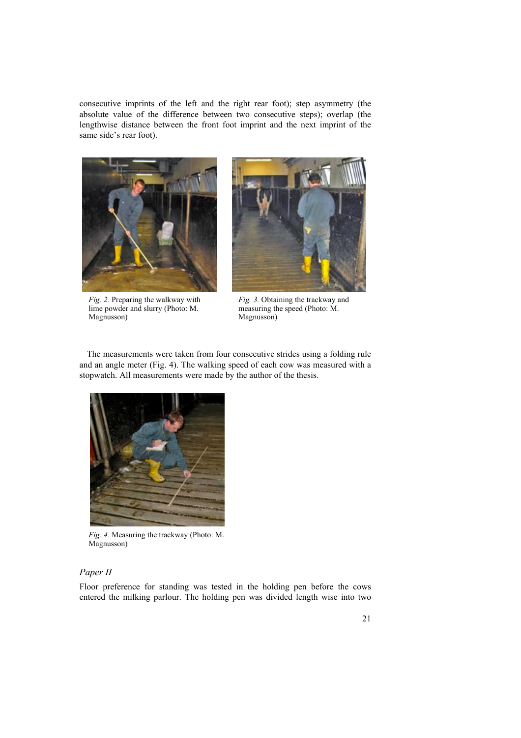consecutive imprints of the left and the right rear foot); step asymmetry (the absolute value of the difference between two consecutive steps); overlap (the lengthwise distance between the front foot imprint and the next imprint of the same side's rear foot).



*Fig. 2.* Preparing the walkway with lime powder and slurry (Photo: M. Magnusson)



*Fig. 3.* Obtaining the trackway and measuring the speed (Photo: M. Magnusson)

The measurements were taken from four consecutive strides using a folding rule and an angle meter (Fig. 4). The walking speed of each cow was measured with a stopwatch. All measurements were made by the author of the thesis.



*Fig. 4.* Measuring the trackway (Photo: M. Magnusson)

### *Paper II*

Floor preference for standing was tested in the holding pen before the cows entered the milking parlour. The holding pen was divided length wise into two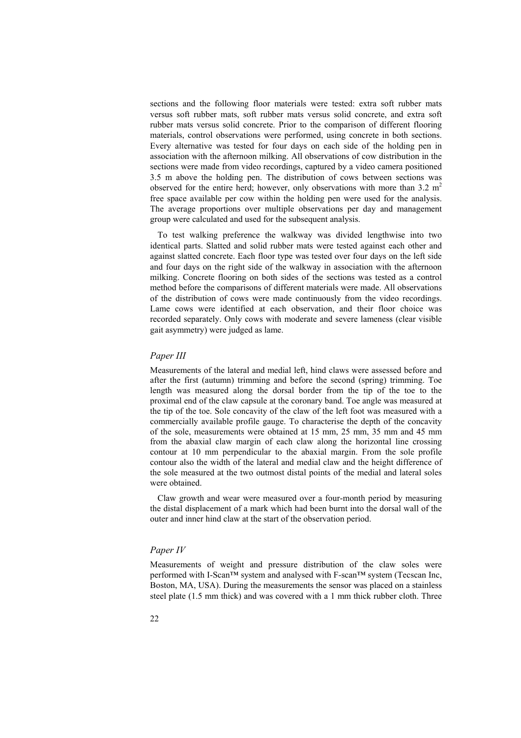sections and the following floor materials were tested: extra soft rubber mats versus soft rubber mats, soft rubber mats versus solid concrete, and extra soft rubber mats versus solid concrete. Prior to the comparison of different flooring materials, control observations were performed, using concrete in both sections. Every alternative was tested for four days on each side of the holding pen in association with the afternoon milking. All observations of cow distribution in the sections were made from video recordings, captured by a video camera positioned 3.5 m above the holding pen. The distribution of cows between sections was observed for the entire herd; however, only observations with more than  $3.2 \text{ m}^2$ free space available per cow within the holding pen were used for the analysis. The average proportions over multiple observations per day and management group were calculated and used for the subsequent analysis.

To test walking preference the walkway was divided lengthwise into two identical parts. Slatted and solid rubber mats were tested against each other and against slatted concrete. Each floor type was tested over four days on the left side and four days on the right side of the walkway in association with the afternoon milking. Concrete flooring on both sides of the sections was tested as a control method before the comparisons of different materials were made. All observations of the distribution of cows were made continuously from the video recordings. Lame cows were identified at each observation, and their floor choice was recorded separately. Only cows with moderate and severe lameness (clear visible gait asymmetry) were judged as lame.

#### *Paper III*

Measurements of the lateral and medial left, hind claws were assessed before and after the first (autumn) trimming and before the second (spring) trimming. Toe length was measured along the dorsal border from the tip of the toe to the proximal end of the claw capsule at the coronary band. Toe angle was measured at the tip of the toe. Sole concavity of the claw of the left foot was measured with a commercially available profile gauge. To characterise the depth of the concavity of the sole, measurements were obtained at 15 mm, 25 mm, 35 mm and 45 mm from the abaxial claw margin of each claw along the horizontal line crossing contour at 10 mm perpendicular to the abaxial margin. From the sole profile contour also the width of the lateral and medial claw and the height difference of the sole measured at the two outmost distal points of the medial and lateral soles were obtained.

Claw growth and wear were measured over a four-month period by measuring the distal displacement of a mark which had been burnt into the dorsal wall of the outer and inner hind claw at the start of the observation period.

#### *Paper IV*

Measurements of weight and pressure distribution of the claw soles were performed with I-Scan™ system and analysed with F-scan™ system (Tecscan Inc, Boston, MA, USA). During the measurements the sensor was placed on a stainless steel plate (1.5 mm thick) and was covered with a 1 mm thick rubber cloth. Three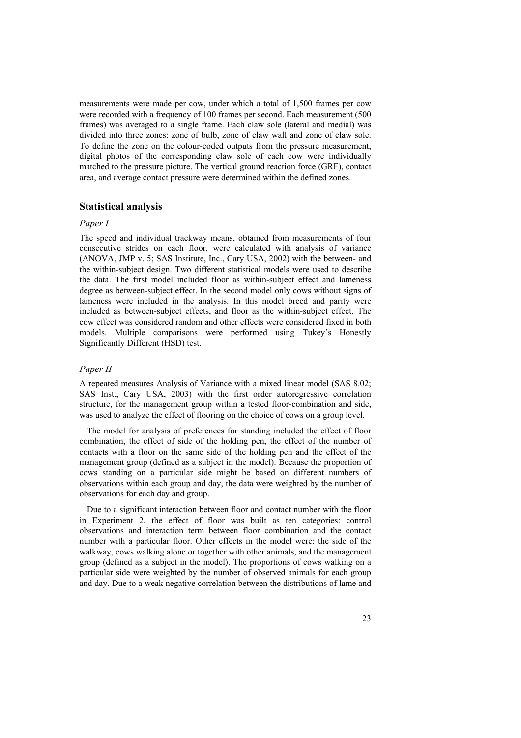measurements were made per cow, under which a total of 1,500 frames per cow were recorded with a frequency of 100 frames per second. Each measurement (500 frames) was averaged to a single frame. Each claw sole (lateral and medial) was divided into three zones: zone of bulb, zone of claw wall and zone of claw sole. To define the zone on the colour-coded outputs from the pressure measurement, digital photos of the corresponding claw sole of each cow were individually matched to the pressure picture. The vertical ground reaction force (GRF), contact area, and average contact pressure were determined within the defined zones.

#### **Statistical analysis**

#### *Paper I*

The speed and individual trackway means, obtained from measurements of four consecutive strides on each floor, were calculated with analysis of variance (ANOVA, JMP v. 5; SAS Institute, Inc., Cary USA, 2002) with the between- and the within-subject design. Two different statistical models were used to describe the data. The first model included floor as within-subject effect and lameness degree as between-subject effect. In the second model only cows without signs of lameness were included in the analysis. In this model breed and parity were included as between-subject effects, and floor as the within-subject effect. The cow effect was considered random and other effects were considered fixed in both models. Multiple comparisons were performed using Tukey's Honestly Significantly Different (HSD) test.

#### *Paper II*

A repeated measures Analysis of Variance with a mixed linear model (SAS 8.02; SAS Inst., Cary USA, 2003) with the first order autoregressive correlation structure, for the management group within a tested floor-combination and side, was used to analyze the effect of flooring on the choice of cows on a group level.

The model for analysis of preferences for standing included the effect of floor combination, the effect of side of the holding pen, the effect of the number of contacts with a floor on the same side of the holding pen and the effect of the management group (defined as a subject in the model). Because the proportion of cows standing on a particular side might be based on different numbers of observations within each group and day, the data were weighted by the number of observations for each day and group.

Due to a significant interaction between floor and contact number with the floor in Experiment 2, the effect of floor was built as ten categories: control observations and interaction term between floor combination and the contact number with a particular floor. Other effects in the model were: the side of the walkway, cows walking alone or together with other animals, and the management group (defined as a subject in the model). The proportions of cows walking on a particular side were weighted by the number of observed animals for each group and day. Due to a weak negative correlation between the distributions of lame and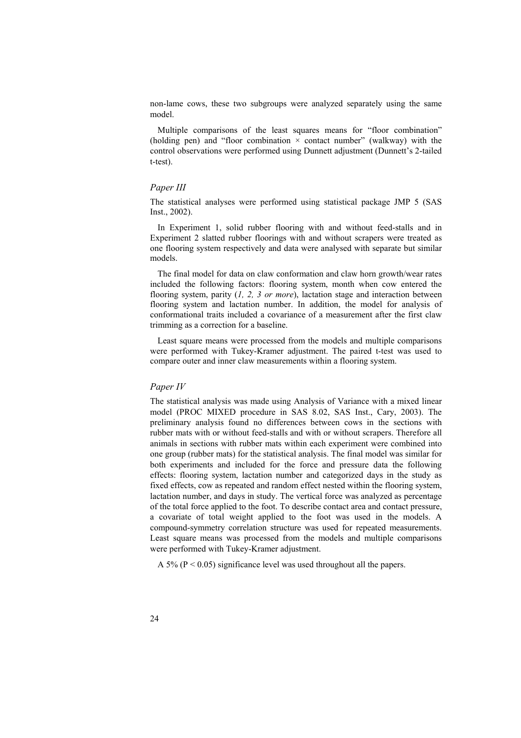non-lame cows, these two subgroups were analyzed separately using the same model.

Multiple comparisons of the least squares means for "floor combination" (holding pen) and "floor combination  $\times$  contact number" (walkway) with the control observations were performed using Dunnett adjustment (Dunnett's 2-tailed t-test).

#### *Paper III*

The statistical analyses were performed using statistical package JMP 5 (SAS Inst., 2002).

In Experiment 1, solid rubber flooring with and without feed-stalls and in Experiment 2 slatted rubber floorings with and without scrapers were treated as one flooring system respectively and data were analysed with separate but similar models.

The final model for data on claw conformation and claw horn growth/wear rates included the following factors: flooring system, month when cow entered the flooring system, parity (*1, 2, 3 or more*), lactation stage and interaction between flooring system and lactation number. In addition, the model for analysis of conformational traits included a covariance of a measurement after the first claw trimming as a correction for a baseline.

Least square means were processed from the models and multiple comparisons were performed with Tukey-Kramer adjustment. The paired t-test was used to compare outer and inner claw measurements within a flooring system.

#### *Paper IV*

The statistical analysis was made using Analysis of Variance with a mixed linear model (PROC MIXED procedure in SAS 8.02, SAS Inst., Cary, 2003). The preliminary analysis found no differences between cows in the sections with rubber mats with or without feed-stalls and with or without scrapers. Therefore all animals in sections with rubber mats within each experiment were combined into one group (rubber mats) for the statistical analysis. The final model was similar for both experiments and included for the force and pressure data the following effects: flooring system, lactation number and categorized days in the study as fixed effects, cow as repeated and random effect nested within the flooring system, lactation number, and days in study. The vertical force was analyzed as percentage of the total force applied to the foot. To describe contact area and contact pressure, a covariate of total weight applied to the foot was used in the models. A compound-symmetry correlation structure was used for repeated measurements. Least square means was processed from the models and multiple comparisons were performed with Tukey-Kramer adjustment.

A 5% ( $P < 0.05$ ) significance level was used throughout all the papers.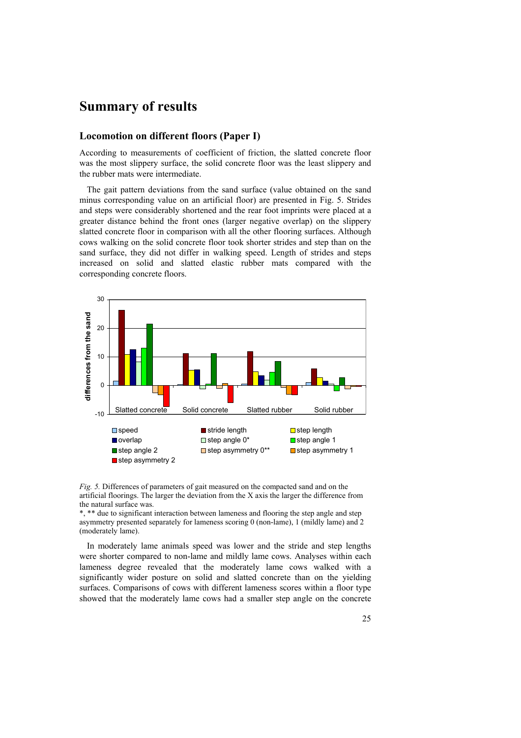## **Summary of results**

### **Locomotion on different floors (Paper I)**

According to measurements of coefficient of friction, the slatted concrete floor was the most slippery surface, the solid concrete floor was the least slippery and the rubber mats were intermediate.

The gait pattern deviations from the sand surface (value obtained on the sand minus corresponding value on an artificial floor) are presented in Fig. 5. Strides and steps were considerably shortened and the rear foot imprints were placed at a greater distance behind the front ones (larger negative overlap) on the slippery slatted concrete floor in comparison with all the other flooring surfaces. Although cows walking on the solid concrete floor took shorter strides and step than on the sand surface, they did not differ in walking speed. Length of strides and steps increased on solid and slatted elastic rubber mats compared with the corresponding concrete floors.



*Fig. 5.* Differences of parameters of gait measured on the compacted sand and on the artificial floorings. The larger the deviation from the X axis the larger the difference from the natural surface was.

\*, \*\* due to significant interaction between lameness and flooring the step angle and step asymmetry presented separately for lameness scoring 0 (non-lame), 1 (mildly lame) and 2 (moderately lame).

In moderately lame animals speed was lower and the stride and step lengths were shorter compared to non-lame and mildly lame cows. Analyses within each lameness degree revealed that the moderately lame cows walked with a significantly wider posture on solid and slatted concrete than on the yielding surfaces. Comparisons of cows with different lameness scores within a floor type showed that the moderately lame cows had a smaller step angle on the concrete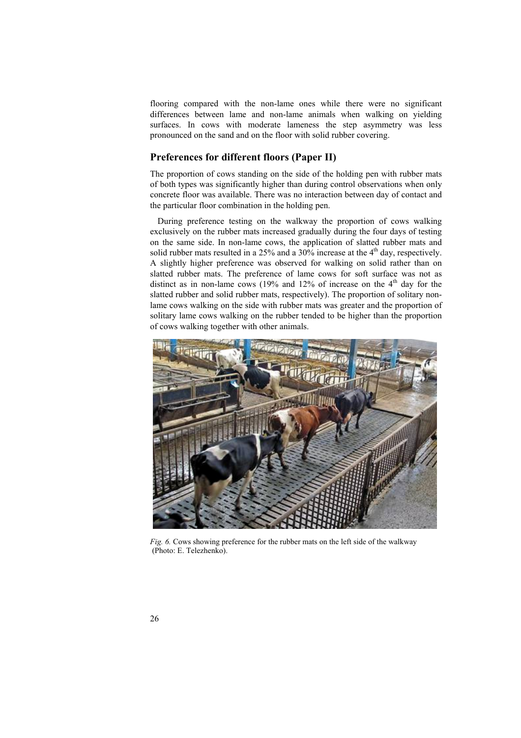flooring compared with the non-lame ones while there were no significant differences between lame and non-lame animals when walking on yielding surfaces. In cows with moderate lameness the step asymmetry was less pronounced on the sand and on the floor with solid rubber covering.

### **Preferences for different floors (Paper II)**

The proportion of cows standing on the side of the holding pen with rubber mats of both types was significantly higher than during control observations when only concrete floor was available. There was no interaction between day of contact and the particular floor combination in the holding pen.

During preference testing on the walkway the proportion of cows walking exclusively on the rubber mats increased gradually during the four days of testing on the same side. In non-lame cows, the application of slatted rubber mats and solid rubber mats resulted in a  $25\%$  and a  $30\%$  increase at the 4<sup>th</sup> day, respectively. A slightly higher preference was observed for walking on solid rather than on slatted rubber mats. The preference of lame cows for soft surface was not as distinct as in non-lame cows (19% and 12% of increase on the  $4<sup>th</sup>$  day for the slatted rubber and solid rubber mats, respectively). The proportion of solitary nonlame cows walking on the side with rubber mats was greater and the proportion of solitary lame cows walking on the rubber tended to be higher than the proportion of cows walking together with other animals.



*Fig. 6.* Cows showing preference for the rubber mats on the left side of the walkway (Photo: E. Telezhenko).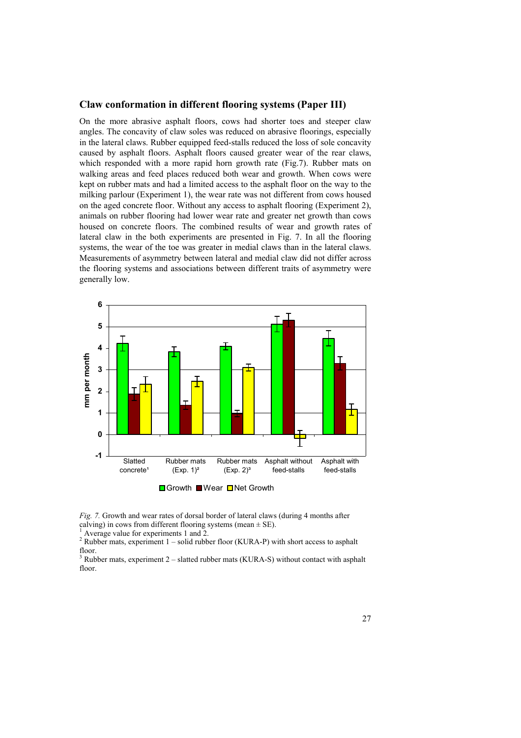#### **Claw conformation in different flooring systems (Paper III)**

On the more abrasive asphalt floors, cows had shorter toes and steeper claw angles. The concavity of claw soles was reduced on abrasive floorings, especially in the lateral claws. Rubber equipped feed-stalls reduced the loss of sole concavity caused by asphalt floors. Asphalt floors caused greater wear of the rear claws, which responded with a more rapid horn growth rate (Fig.7). Rubber mats on walking areas and feed places reduced both wear and growth. When cows were kept on rubber mats and had a limited access to the asphalt floor on the way to the milking parlour (Experiment 1), the wear rate was not different from cows housed on the aged concrete floor. Without any access to asphalt flooring (Experiment 2), animals on rubber flooring had lower wear rate and greater net growth than cows housed on concrete floors. The combined results of wear and growth rates of lateral claw in the both experiments are presented in Fig. 7. In all the flooring systems, the wear of the toe was greater in medial claws than in the lateral claws. Measurements of asymmetry between lateral and medial claw did not differ across the flooring systems and associations between different traits of asymmetry were generally low.



*Fig. 7.* Growth and wear rates of dorsal border of lateral claws (during 4 months after calving) in cows from different flooring systems (mean  $\pm$  SE).

<sup>1</sup> Average value for experiments 1 and 2.

<sup>2</sup> Rubber mats, experiment  $1$  – solid rubber floor (KURA-P) with short access to asphalt floor.

 $3$  Rubber mats, experiment 2 – slatted rubber mats (KURA-S) without contact with asphalt floor.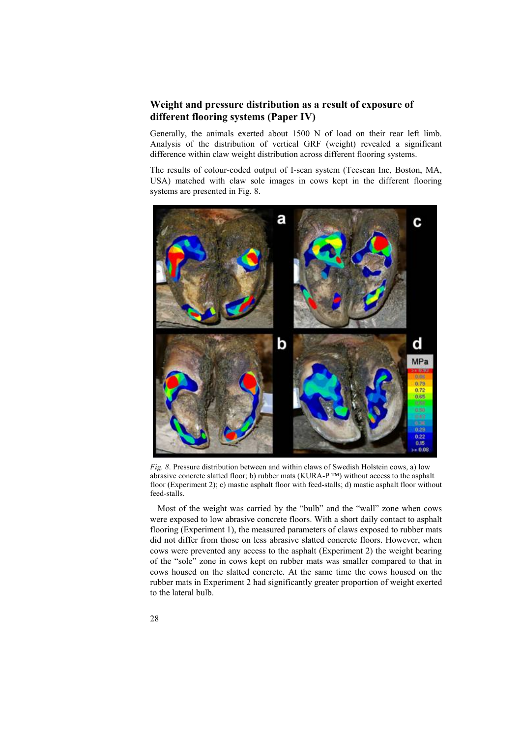## **Weight and pressure distribution as a result of exposure of different flooring systems (Paper IV)**

Generally, the animals exerted about 1500 N of load on their rear left limb. Analysis of the distribution of vertical GRF (weight) revealed a significant difference within claw weight distribution across different flooring systems.

The results of colour-coded output of I-scan system (Tecscan Inc, Boston, MA, USA) matched with claw sole images in cows kept in the different flooring systems are presented in Fig. 8.



*Fig. 8*. Pressure distribution between and within claws of Swedish Holstein cows, a) low abrasive concrete slatted floor; b) rubber mats (KURA-P ™) without access to the asphalt floor (Experiment 2); c) mastic asphalt floor with feed-stalls; d) mastic asphalt floor without feed-stalls.

Most of the weight was carried by the "bulb" and the "wall" zone when cows were exposed to low abrasive concrete floors. With a short daily contact to asphalt flooring (Experiment 1), the measured parameters of claws exposed to rubber mats did not differ from those on less abrasive slatted concrete floors. However, when cows were prevented any access to the asphalt (Experiment 2) the weight bearing of the "sole" zone in cows kept on rubber mats was smaller compared to that in cows housed on the slatted concrete. At the same time the cows housed on the rubber mats in Experiment 2 had significantly greater proportion of weight exerted to the lateral bulb.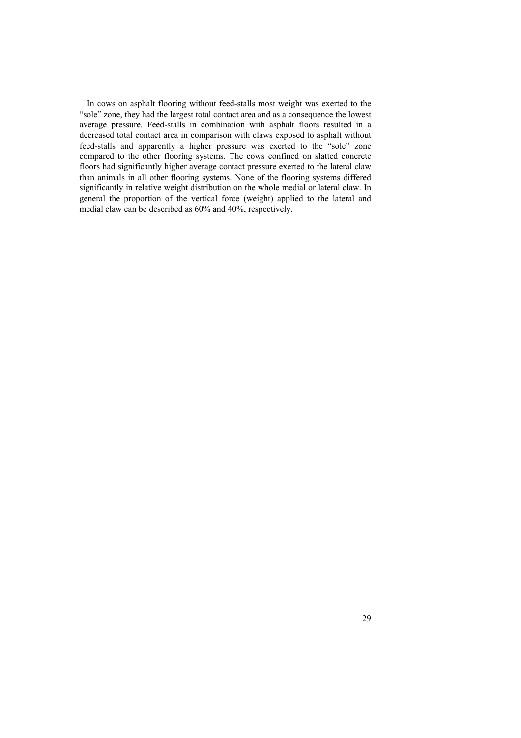In cows on asphalt flooring without feed-stalls most weight was exerted to the "sole" zone, they had the largest total contact area and as a consequence the lowest average pressure. Feed-stalls in combination with asphalt floors resulted in a decreased total contact area in comparison with claws exposed to asphalt without feed-stalls and apparently a higher pressure was exerted to the "sole" zone compared to the other flooring systems. The cows confined on slatted concrete floors had significantly higher average contact pressure exerted to the lateral claw than animals in all other flooring systems. None of the flooring systems differed significantly in relative weight distribution on the whole medial or lateral claw. In general the proportion of the vertical force (weight) applied to the lateral and medial claw can be described as 60% and 40%, respectively.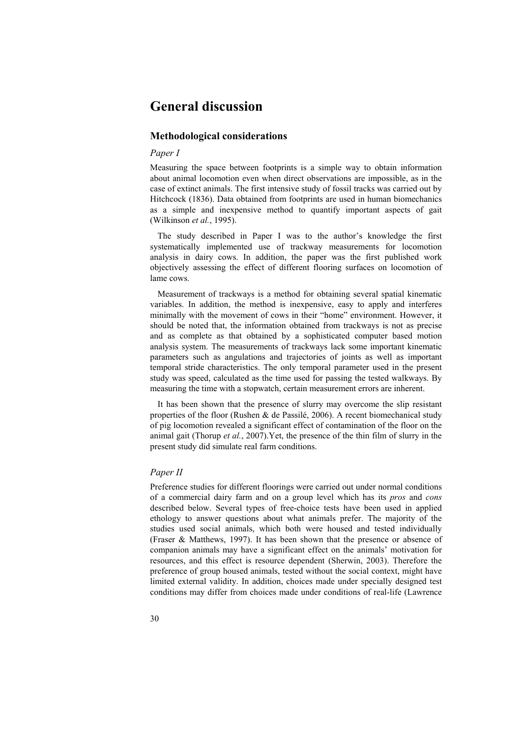## **General discussion**

### **Methodological considerations**

#### *Paper I*

Measuring the space between footprints is a simple way to obtain information about animal locomotion even when direct observations are impossible, as in the case of extinct animals. The first intensive study of fossil tracks was carried out by Hitchcock (1836). Data obtained from footprints are used in human biomechanics as a simple and inexpensive method to quantify important aspects of gait (Wilkinson *et al.*, 1995).

The study described in Paper I was to the author's knowledge the first systematically implemented use of trackway measurements for locomotion analysis in dairy cows. In addition, the paper was the first published work objectively assessing the effect of different flooring surfaces on locomotion of lame cows.

Measurement of trackways is a method for obtaining several spatial kinematic variables. In addition, the method is inexpensive, easy to apply and interferes minimally with the movement of cows in their "home" environment. However, it should be noted that, the information obtained from trackways is not as precise and as complete as that obtained by a sophisticated computer based motion analysis system. The measurements of trackways lack some important kinematic parameters such as angulations and trajectories of joints as well as important temporal stride characteristics. The only temporal parameter used in the present study was speed, calculated as the time used for passing the tested walkways. By measuring the time with a stopwatch, certain measurement errors are inherent.

It has been shown that the presence of slurry may overcome the slip resistant properties of the floor (Rushen & de Passilé, 2006). A recent biomechanical study of pig locomotion revealed a significant effect of contamination of the floor on the animal gait (Thorup *et al.*, 2007).Yet, the presence of the thin film of slurry in the present study did simulate real farm conditions.

#### *Paper II*

Preference studies for different floorings were carried out under normal conditions of a commercial dairy farm and on a group level which has its *pros* and *cons*  described below. Several types of free-choice tests have been used in applied ethology to answer questions about what animals prefer. The majority of the studies used social animals, which both were housed and tested individually (Fraser & Matthews, 1997). It has been shown that the presence or absence of companion animals may have a significant effect on the animals' motivation for resources, and this effect is resource dependent (Sherwin, 2003). Therefore the preference of group housed animals, tested without the social context, might have limited external validity. In addition, choices made under specially designed test conditions may differ from choices made under conditions of real-life (Lawrence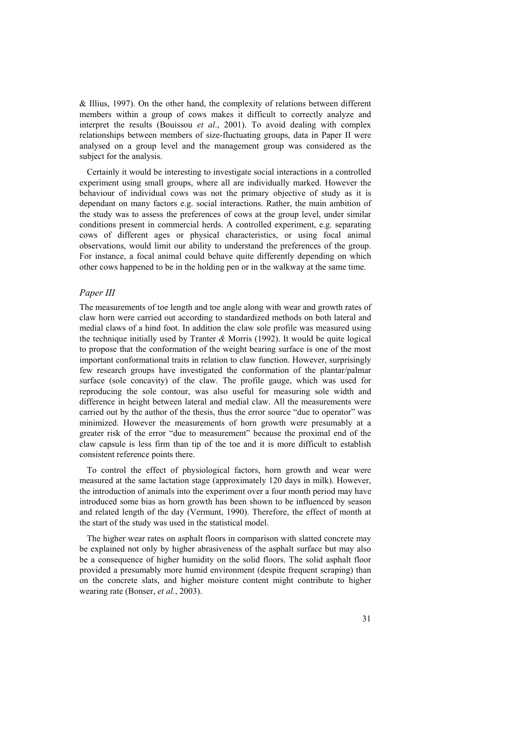& Illius, 1997). On the other hand, the complexity of relations between different members within a group of cows makes it difficult to correctly analyze and interpret the results (Bouissou *et al*., 2001). To avoid dealing with complex relationships between members of size-fluctuating groups, data in Paper II were analysed on a group level and the management group was considered as the subject for the analysis.

Certainly it would be interesting to investigate social interactions in a controlled experiment using small groups, where all are individually marked. However the behaviour of individual cows was not the primary objective of study as it is dependant on many factors e.g. social interactions. Rather, the main ambition of the study was to assess the preferences of cows at the group level, under similar conditions present in commercial herds. A controlled experiment, e.g. separating cows of different ages or physical characteristics, or using focal animal observations, would limit our ability to understand the preferences of the group. For instance, a focal animal could behave quite differently depending on which other cows happened to be in the holding pen or in the walkway at the same time.

#### *Paper III*

The measurements of toe length and toe angle along with wear and growth rates of claw horn were carried out according to standardized methods on both lateral and medial claws of a hind foot. In addition the claw sole profile was measured using the technique initially used by Tranter *&* Morris (1992). It would be quite logical to propose that the conformation of the weight bearing surface is one of the most important conformational traits in relation to claw function. However, surprisingly few research groups have investigated the conformation of the plantar/palmar surface (sole concavity) of the claw. The profile gauge, which was used for reproducing the sole contour, was also useful for measuring sole width and difference in height between lateral and medial claw. All the measurements were carried out by the author of the thesis, thus the error source "due to operator" was minimized. However the measurements of horn growth were presumably at a greater risk of the error "due to measurement" because the proximal end of the claw capsule is less firm than tip of the toe and it is more difficult to establish consistent reference points there.

To control the effect of physiological factors, horn growth and wear were measured at the same lactation stage (approximately 120 days in milk). However, the introduction of animals into the experiment over a four month period may have introduced some bias as horn growth has been shown to be influenced by season and related length of the day (Vermunt, 1990). Therefore, the effect of month at the start of the study was used in the statistical model.

The higher wear rates on asphalt floors in comparison with slatted concrete may be explained not only by higher abrasiveness of the asphalt surface but may also be a consequence of higher humidity on the solid floors. The solid asphalt floor provided a presumably more humid environment (despite frequent scraping) than on the concrete slats, and higher moisture content might contribute to higher wearing rate (Bonser, *et al.*, 2003).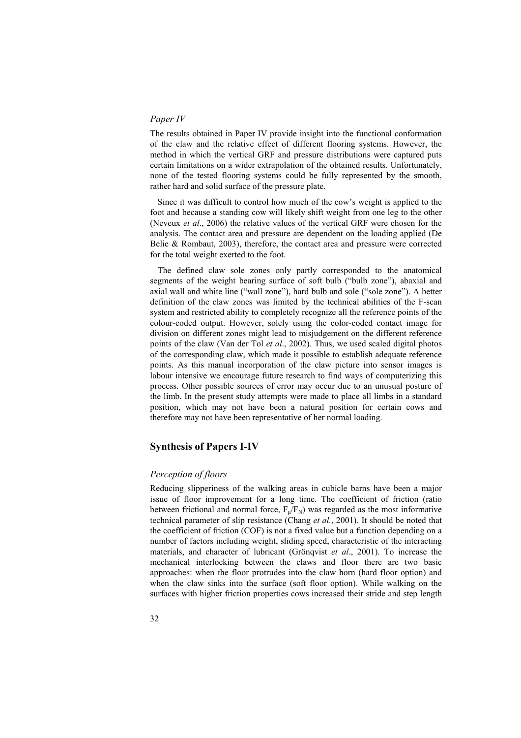#### *Paper IV*

The results obtained in Paper IV provide insight into the functional conformation of the claw and the relative effect of different flooring systems. However, the method in which the vertical GRF and pressure distributions were captured puts certain limitations on a wider extrapolation of the obtained results. Unfortunately, none of the tested flooring systems could be fully represented by the smooth, rather hard and solid surface of the pressure plate.

Since it was difficult to control how much of the cow's weight is applied to the foot and because a standing cow will likely shift weight from one leg to the other (Neveux *et al*., 2006) the relative values of the vertical GRF were chosen for the analysis. The contact area and pressure are dependent on the loading applied (De Belie & Rombaut, 2003), therefore, the contact area and pressure were corrected for the total weight exerted to the foot.

The defined claw sole zones only partly corresponded to the anatomical segments of the weight bearing surface of soft bulb ("bulb zone"), abaxial and axial wall and white line ("wall zone"), hard bulb and sole ("sole zone"). A better definition of the claw zones was limited by the technical abilities of the F-scan system and restricted ability to completely recognize all the reference points of the colour-coded output. However, solely using the color-coded contact image for division on different zones might lead to misjudgement on the different reference points of the claw (Van der Tol *et al*., 2002). Thus, we used scaled digital photos of the corresponding claw, which made it possible to establish adequate reference points. As this manual incorporation of the claw picture into sensor images is labour intensive we encourage future research to find ways of computerizing this process. Other possible sources of error may occur due to an unusual posture of the limb. In the present study attempts were made to place all limbs in a standard position, which may not have been a natural position for certain cows and therefore may not have been representative of her normal loading.

#### **Synthesis of Papers I-IV**

#### *Perception of floors*

Reducing slipperiness of the walking areas in cubicle barns have been a major issue of floor improvement for a long time. The coefficient of friction (ratio between frictional and normal force,  $F_{\mu}/F_N$ ) was regarded as the most informative technical parameter of slip resistance (Chang *et al.*, 2001). It should be noted that the coefficient of friction (COF) is not a fixed value but a function depending on a number of factors including weight, sliding speed, characteristic of the interacting materials, and character of lubricant (Grönqvist *et al*., 2001). To increase the mechanical interlocking between the claws and floor there are two basic approaches: when the floor protrudes into the claw horn (hard floor option) and when the claw sinks into the surface (soft floor option). While walking on the surfaces with higher friction properties cows increased their stride and step length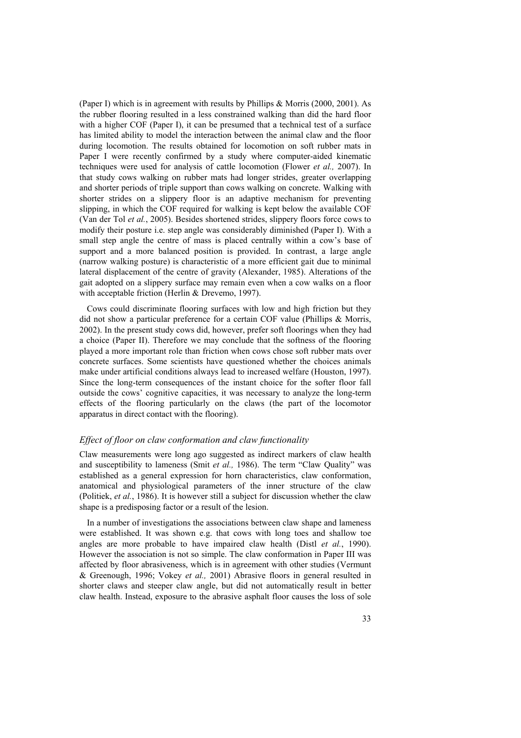(Paper I) which is in agreement with results by Phillips & Morris (2000, 2001). As the rubber flooring resulted in a less constrained walking than did the hard floor with a higher COF (Paper I), it can be presumed that a technical test of a surface has limited ability to model the interaction between the animal claw and the floor during locomotion. The results obtained for locomotion on soft rubber mats in Paper I were recently confirmed by a study where computer-aided kinematic techniques were used for analysis of cattle locomotion (Flower *et al.,* 2007). In that study cows walking on rubber mats had longer strides, greater overlapping and shorter periods of triple support than cows walking on concrete. Walking with shorter strides on a slippery floor is an adaptive mechanism for preventing slipping, in which the COF required for walking is kept below the available COF (Van der Tol *et al.*, 2005). Besides shortened strides, slippery floors force cows to modify their posture i.e. step angle was considerably diminished (Paper I). With a small step angle the centre of mass is placed centrally within a cow's base of support and a more balanced position is provided. In contrast, a large angle (narrow walking posture) is characteristic of a more efficient gait due to minimal lateral displacement of the centre of gravity (Alexander, 1985). Alterations of the gait adopted on a slippery surface may remain even when a cow walks on a floor with acceptable friction (Herlin & Drevemo, 1997).

Cows could discriminate flooring surfaces with low and high friction but they did not show a particular preference for a certain COF value (Phillips & Morris, 2002). In the present study cows did, however, prefer soft floorings when they had a choice (Paper II). Therefore we may conclude that the softness of the flooring played a more important role than friction when cows chose soft rubber mats over concrete surfaces. Some scientists have questioned whether the choices animals make under artificial conditions always lead to increased welfare (Houston, 1997). Since the long-term consequences of the instant choice for the softer floor fall outside the cows' cognitive capacities, it was necessary to analyze the long-term effects of the flooring particularly on the claws (the part of the locomotor apparatus in direct contact with the flooring).

#### *Effect of floor on claw conformation and claw functionality*

Claw measurements were long ago suggested as indirect markers of claw health and susceptibility to lameness (Smit *et al.,* 1986). The term "Claw Quality" was established as a general expression for horn characteristics, claw conformation, anatomical and physiological parameters of the inner structure of the claw (Politiek, *et al.*, 1986). It is however still a subject for discussion whether the claw shape is a predisposing factor or a result of the lesion.

In a number of investigations the associations between claw shape and lameness were established. It was shown e.g. that cows with long toes and shallow toe angles are more probable to have impaired claw health (Distl *et al.*, 1990). However the association is not so simple. The claw conformation in Paper III was affected by floor abrasiveness, which is in agreement with other studies (Vermunt & Greenough, 1996; Vokey *et al.,* 2001) Abrasive floors in general resulted in shorter claws and steeper claw angle, but did not automatically result in better claw health. Instead, exposure to the abrasive asphalt floor causes the loss of sole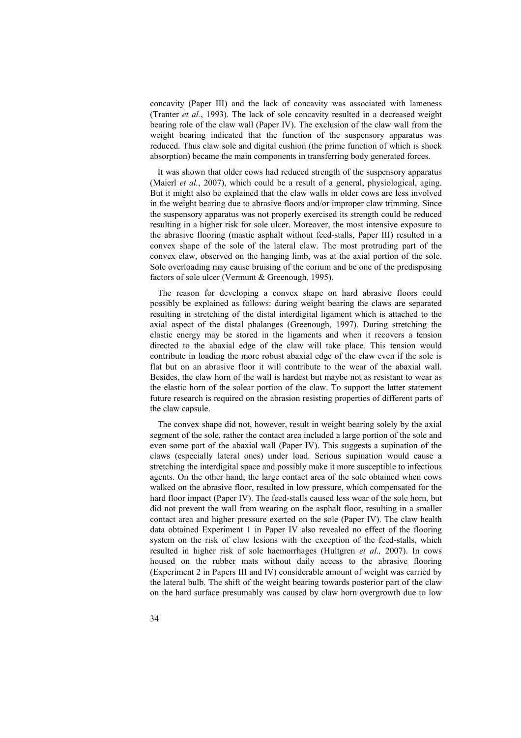concavity (Paper III) and the lack of concavity was associated with lameness (Tranter *et al.*, 1993). The lack of sole concavity resulted in a decreased weight bearing role of the claw wall (Paper IV). The exclusion of the claw wall from the weight bearing indicated that the function of the suspensory apparatus was reduced. Thus claw sole and digital cushion (the prime function of which is shock absorption) became the main components in transferring body generated forces.

It was shown that older cows had reduced strength of the suspensory apparatus (Maierl *et al.*, 2007), which could be a result of a general, physiological, aging. But it might also be explained that the claw walls in older cows are less involved in the weight bearing due to abrasive floors and/or improper claw trimming. Since the suspensory apparatus was not properly exercised its strength could be reduced resulting in a higher risk for sole ulcer. Moreover, the most intensive exposure to the abrasive flooring (mastic asphalt without feed-stalls, Paper III) resulted in a convex shape of the sole of the lateral claw. The most protruding part of the convex claw, observed on the hanging limb, was at the axial portion of the sole. Sole overloading may cause bruising of the corium and be one of the predisposing factors of sole ulcer (Vermunt & Greenough, 1995).

The reason for developing a convex shape on hard abrasive floors could possibly be explained as follows: during weight bearing the claws are separated resulting in stretching of the distal interdigital ligament which is attached to the axial aspect of the distal phalanges (Greenough, 1997). During stretching the elastic energy may be stored in the ligaments and when it recovers a tension directed to the abaxial edge of the claw will take place. This tension would contribute in loading the more robust abaxial edge of the claw even if the sole is flat but on an abrasive floor it will contribute to the wear of the abaxial wall. Besides, the claw horn of the wall is hardest but maybe not as resistant to wear as the elastic horn of the solear portion of the claw. To support the latter statement future research is required on the abrasion resisting properties of different parts of the claw capsule.

The convex shape did not, however, result in weight bearing solely by the axial segment of the sole, rather the contact area included a large portion of the sole and even some part of the abaxial wall (Paper IV). This suggests a supination of the claws (especially lateral ones) under load. Serious supination would cause a stretching the interdigital space and possibly make it more susceptible to infectious agents. On the other hand, the large contact area of the sole obtained when cows walked on the abrasive floor, resulted in low pressure, which compensated for the hard floor impact (Paper IV). The feed-stalls caused less wear of the sole horn, but did not prevent the wall from wearing on the asphalt floor, resulting in a smaller contact area and higher pressure exerted on the sole (Paper IV). The claw health data obtained Experiment 1 in Paper IV also revealed no effect of the flooring system on the risk of claw lesions with the exception of the feed-stalls, which resulted in higher risk of sole haemorrhages (Hultgren *et al.,* 2007). In cows housed on the rubber mats without daily access to the abrasive flooring (Experiment 2 in Papers III and IV) considerable amount of weight was carried by the lateral bulb. The shift of the weight bearing towards posterior part of the claw on the hard surface presumably was caused by claw horn overgrowth due to low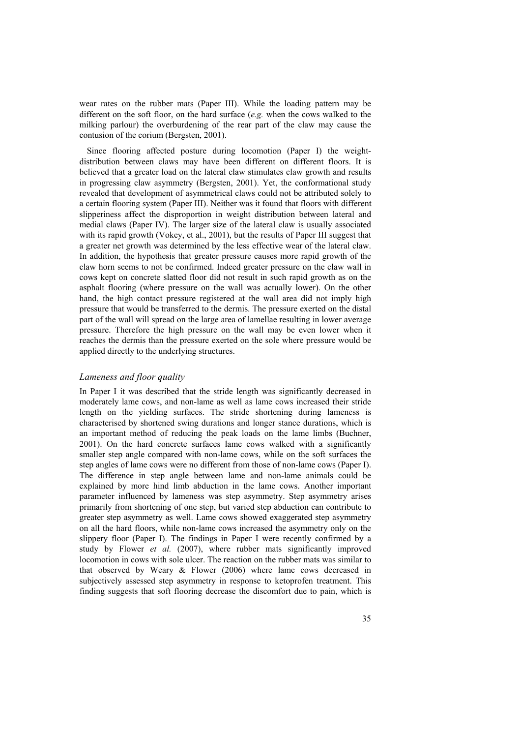wear rates on the rubber mats (Paper III). While the loading pattern may be different on the soft floor, on the hard surface (*e.g.* when the cows walked to the milking parlour) the overburdening of the rear part of the claw may cause the contusion of the corium (Bergsten, 2001).

Since flooring affected posture during locomotion (Paper I) the weightdistribution between claws may have been different on different floors. It is believed that a greater load on the lateral claw stimulates claw growth and results in progressing claw asymmetry (Bergsten, 2001). Yet, the conformational study revealed that development of asymmetrical claws could not be attributed solely to a certain flooring system (Paper III). Neither was it found that floors with different slipperiness affect the disproportion in weight distribution between lateral and medial claws (Paper IV). The larger size of the lateral claw is usually associated with its rapid growth (Vokey, et al., 2001), but the results of Paper III suggest that a greater net growth was determined by the less effective wear of the lateral claw. In addition, the hypothesis that greater pressure causes more rapid growth of the claw horn seems to not be confirmed. Indeed greater pressure on the claw wall in cows kept on concrete slatted floor did not result in such rapid growth as on the asphalt flooring (where pressure on the wall was actually lower). On the other hand, the high contact pressure registered at the wall area did not imply high pressure that would be transferred to the dermis. The pressure exerted on the distal part of the wall will spread on the large area of lamellae resulting in lower average pressure. Therefore the high pressure on the wall may be even lower when it reaches the dermis than the pressure exerted on the sole where pressure would be applied directly to the underlying structures.

#### *Lameness and floor quality*

In Paper I it was described that the stride length was significantly decreased in moderately lame cows, and non-lame as well as lame cows increased their stride length on the yielding surfaces. The stride shortening during lameness is characterised by shortened swing durations and longer stance durations, which is an important method of reducing the peak loads on the lame limbs (Buchner, 2001). On the hard concrete surfaces lame cows walked with a significantly smaller step angle compared with non-lame cows, while on the soft surfaces the step angles of lame cows were no different from those of non-lame cows (Paper I). The difference in step angle between lame and non-lame animals could be explained by more hind limb abduction in the lame cows. Another important parameter influenced by lameness was step asymmetry. Step asymmetry arises primarily from shortening of one step, but varied step abduction can contribute to greater step asymmetry as well. Lame cows showed exaggerated step asymmetry on all the hard floors, while non-lame cows increased the asymmetry only on the slippery floor (Paper I). The findings in Paper I were recently confirmed by a study by Flower *et al.* (2007), where rubber mats significantly improved locomotion in cows with sole ulcer. The reaction on the rubber mats was similar to that observed by Weary & Flower (2006) where lame cows decreased in subjectively assessed step asymmetry in response to ketoprofen treatment. This finding suggests that soft flooring decrease the discomfort due to pain, which is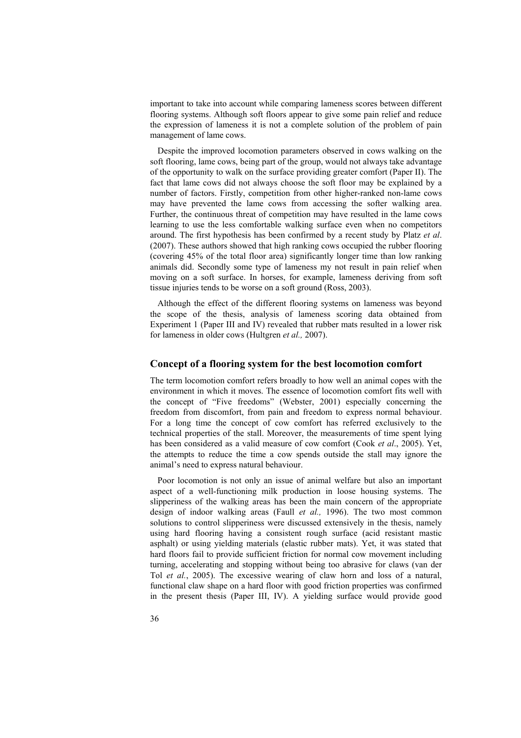important to take into account while comparing lameness scores between different flooring systems. Although soft floors appear to give some pain relief and reduce the expression of lameness it is not a complete solution of the problem of pain management of lame cows.

Despite the improved locomotion parameters observed in cows walking on the soft flooring, lame cows, being part of the group, would not always take advantage of the opportunity to walk on the surface providing greater comfort (Paper II). The fact that lame cows did not always choose the soft floor may be explained by a number of factors. Firstly, competition from other higher-ranked non-lame cows may have prevented the lame cows from accessing the softer walking area. Further, the continuous threat of competition may have resulted in the lame cows learning to use the less comfortable walking surface even when no competitors around. The first hypothesis has been confirmed by a recent study by Platz *et al*. (2007). These authors showed that high ranking cows occupied the rubber flooring (covering 45% of the total floor area) significantly longer time than low ranking animals did. Secondly some type of lameness my not result in pain relief when moving on a soft surface. In horses, for example, lameness deriving from soft tissue injuries tends to be worse on a soft ground (Ross, 2003).

Although the effect of the different flooring systems on lameness was beyond the scope of the thesis, analysis of lameness scoring data obtained from Experiment 1 (Paper III and IV) revealed that rubber mats resulted in a lower risk for lameness in older cows (Hultgren *et al.,* 2007).

#### **Concept of a flooring system for the best locomotion comfort**

The term locomotion comfort refers broadly to how well an animal copes with the environment in which it moves. The essence of locomotion comfort fits well with the concept of "Five freedoms" (Webster, 2001) especially concerning the freedom from discomfort, from pain and freedom to express normal behaviour. For a long time the concept of cow comfort has referred exclusively to the technical properties of the stall. Moreover, the measurements of time spent lying has been considered as a valid measure of cow comfort (Cook *et al*., 2005). Yet, the attempts to reduce the time a cow spends outside the stall may ignore the animal's need to express natural behaviour.

Poor locomotion is not only an issue of animal welfare but also an important aspect of a well-functioning milk production in loose housing systems. The slipperiness of the walking areas has been the main concern of the appropriate design of indoor walking areas (Faull *et al.,* 1996). The two most common solutions to control slipperiness were discussed extensively in the thesis, namely using hard flooring having a consistent rough surface (acid resistant mastic asphalt) or using yielding materials (elastic rubber mats). Yet, it was stated that hard floors fail to provide sufficient friction for normal cow movement including turning, accelerating and stopping without being too abrasive for claws (van der Tol *et al.*, 2005). The excessive wearing of claw horn and loss of a natural, functional claw shape on a hard floor with good friction properties was confirmed in the present thesis (Paper III, IV). A yielding surface would provide good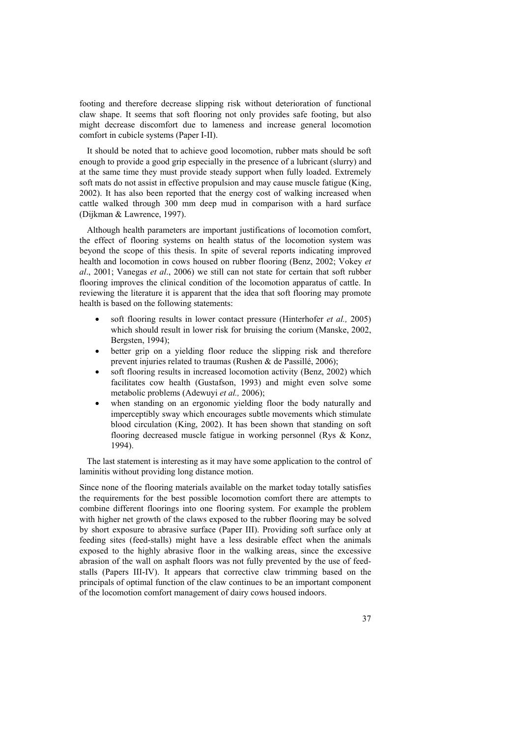footing and therefore decrease slipping risk without deterioration of functional claw shape. It seems that soft flooring not only provides safe footing, but also might decrease discomfort due to lameness and increase general locomotion comfort in cubicle systems (Paper I-II).

It should be noted that to achieve good locomotion, rubber mats should be soft enough to provide a good grip especially in the presence of a lubricant (slurry) and at the same time they must provide steady support when fully loaded. Extremely soft mats do not assist in effective propulsion and may cause muscle fatigue (King, 2002). It has also been reported that the energy cost of walking increased when cattle walked through 300 mm deep mud in comparison with a hard surface (Dijkman & Lawrence, 1997).

Although health parameters are important justifications of locomotion comfort, the effect of flooring systems on health status of the locomotion system was beyond the scope of this thesis. In spite of several reports indicating improved health and locomotion in cows housed on rubber flooring (Benz, 2002; Vokey *et al*., 2001; Vanegas *et al*., 2006) we still can not state for certain that soft rubber flooring improves the clinical condition of the locomotion apparatus of cattle. In reviewing the literature it is apparent that the idea that soft flooring may promote health is based on the following statements:

- soft flooring results in lower contact pressure (Hinterhofer *et al.,* 2005) which should result in lower risk for bruising the corium (Manske, 2002, Bergsten, 1994);
- better grip on a vielding floor reduce the slipping risk and therefore prevent injuries related to traumas (Rushen & de Passillé, 2006);
- soft flooring results in increased locomotion activity (Benz, 2002) which facilitates cow health (Gustafson, 1993) and might even solve some metabolic problems (Adewuyi *et al.,* 2006);
- when standing on an ergonomic vielding floor the body naturally and imperceptibly sway which encourages subtle movements which stimulate blood circulation (King, 2002). It has been shown that standing on soft flooring decreased muscle fatigue in working personnel (Rys & Konz, 1994).

The last statement is interesting as it may have some application to the control of laminitis without providing long distance motion.

Since none of the flooring materials available on the market today totally satisfies the requirements for the best possible locomotion comfort there are attempts to combine different floorings into one flooring system. For example the problem with higher net growth of the claws exposed to the rubber flooring may be solved by short exposure to abrasive surface (Paper III). Providing soft surface only at feeding sites (feed-stalls) might have a less desirable effect when the animals exposed to the highly abrasive floor in the walking areas, since the excessive abrasion of the wall on asphalt floors was not fully prevented by the use of feedstalls (Papers III-IV). It appears that corrective claw trimming based on the principals of optimal function of the claw continues to be an important component of the locomotion comfort management of dairy cows housed indoors.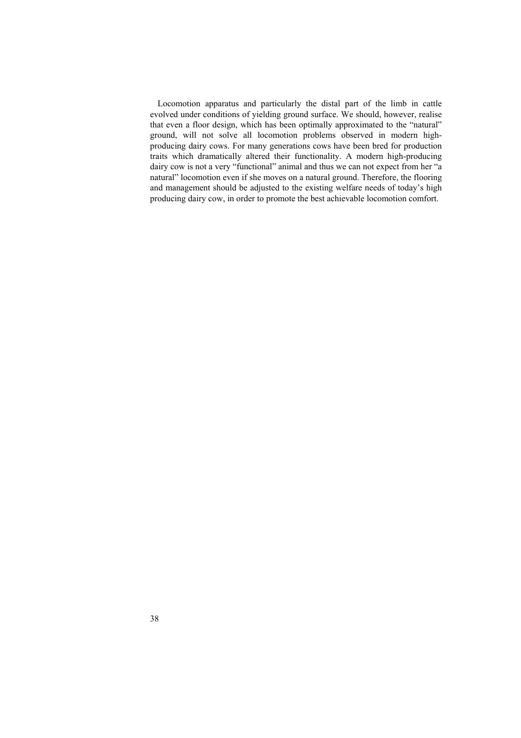Locomotion apparatus and particularly the distal part of the limb in cattle evolved under conditions of yielding ground surface. We should, however, realise that even a floor design, which has been optimally approximated to the "natural" ground, will not solve all locomotion problems observed in modern highproducing dairy cows. For many generations cows have been bred for production traits which dramatically altered their functionality. A modern high-producing dairy cow is not a very "functional" animal and thus we can not expect from her "a natural" locomotion even if she moves on a natural ground. Therefore, the flooring and management should be adjusted to the existing welfare needs of today's high producing dairy cow, in order to promote the best achievable locomotion comfort.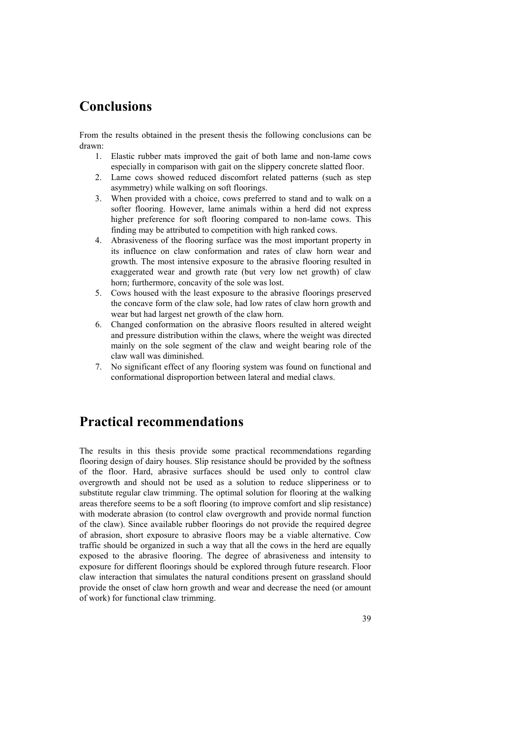## **Conclusions**

From the results obtained in the present thesis the following conclusions can be drawn:

- 1. Elastic rubber mats improved the gait of both lame and non-lame cows especially in comparison with gait on the slippery concrete slatted floor.
- 2. Lame cows showed reduced discomfort related patterns (such as step asymmetry) while walking on soft floorings.
- 3. When provided with a choice, cows preferred to stand and to walk on a softer flooring. However, lame animals within a herd did not express higher preference for soft flooring compared to non-lame cows. This finding may be attributed to competition with high ranked cows.
- 4. Abrasiveness of the flooring surface was the most important property in its influence on claw conformation and rates of claw horn wear and growth. The most intensive exposure to the abrasive flooring resulted in exaggerated wear and growth rate (but very low net growth) of claw horn; furthermore, concavity of the sole was lost.
- 5. Cows housed with the least exposure to the abrasive floorings preserved the concave form of the claw sole, had low rates of claw horn growth and wear but had largest net growth of the claw horn.
- 6. Changed conformation on the abrasive floors resulted in altered weight and pressure distribution within the claws, where the weight was directed mainly on the sole segment of the claw and weight bearing role of the claw wall was diminished.
- 7. No significant effect of any flooring system was found on functional and conformational disproportion between lateral and medial claws.

## **Practical recommendations**

The results in this thesis provide some practical recommendations regarding flooring design of dairy houses. Slip resistance should be provided by the softness of the floor. Hard, abrasive surfaces should be used only to control claw overgrowth and should not be used as a solution to reduce slipperiness or to substitute regular claw trimming. The optimal solution for flooring at the walking areas therefore seems to be a soft flooring (to improve comfort and slip resistance) with moderate abrasion (to control claw overgrowth and provide normal function of the claw). Since available rubber floorings do not provide the required degree of abrasion, short exposure to abrasive floors may be a viable alternative. Cow traffic should be organized in such a way that all the cows in the herd are equally exposed to the abrasive flooring. The degree of abrasiveness and intensity to exposure for different floorings should be explored through future research. Floor claw interaction that simulates the natural conditions present on grassland should provide the onset of claw horn growth and wear and decrease the need (or amount of work) for functional claw trimming.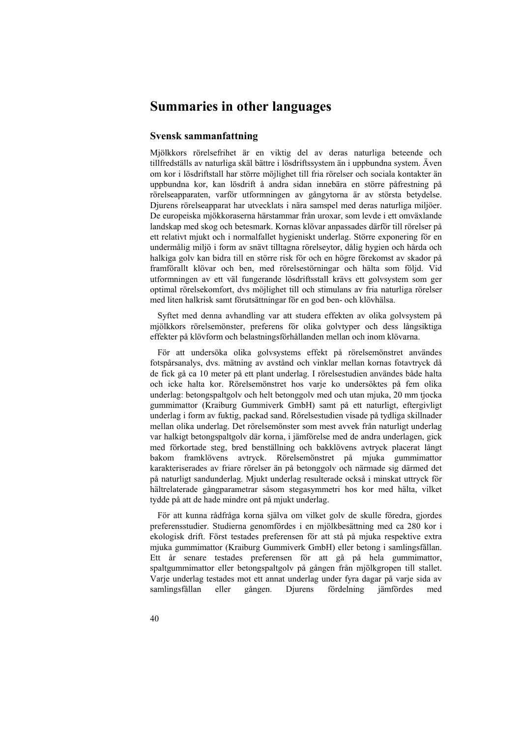## **Summaries in other languages**

### **Svensk sammanfattning**

Mjölkkors rörelsefrihet är en viktig del av deras naturliga beteende och tillfredställs av naturliga skäl bättre i lösdriftssystem än i uppbundna system. Även om kor i lösdriftstall har större möjlighet till fria rörelser och sociala kontakter än uppbundna kor, kan lösdrift å andra sidan innebära en större påfrestning på rörelseapparaten, varför utformningen av gångytorna är av största betydelse. Djurens rörelseapparat har utvecklats i nära samspel med deras naturliga miljöer. De europeiska mjökkoraserna härstammar från uroxar, som levde i ett omväxlande landskap med skog och betesmark. Kornas klövar anpassades därför till rörelser på ett relativt mjukt och i normalfallet hygieniskt underlag. Större exponering för en undermålig miljö i form av snävt tilltagna rörelseytor, dålig hygien och hårda och halkiga golv kan bidra till en större risk för och en högre förekomst av skador på framförallt klövar och ben, med rörelsestörningar och hälta som följd. Vid utformningen av ett väl fungerande lösdriftsstall krävs ett golvsystem som ger optimal rörelsekomfort, dvs möjlighet till och stimulans av fria naturliga rörelser med liten halkrisk samt förutsättningar för en god ben- och klövhälsa.

Syftet med denna avhandling var att studera effekten av olika golvsystem på mjölkkors rörelsemönster, preferens för olika golvtyper och dess långsiktiga effekter på klövform och belastningsförhållanden mellan och inom klövarna.

För att undersöka olika golvsystems effekt på rörelsemönstret användes fotspårsanalys, dvs. mätning av avstånd och vinklar mellan kornas fotavtryck då de fick gå ca 10 meter på ett plant underlag. I rörelsestudien användes både halta och icke halta kor. Rörelsemönstret hos varje ko undersöktes på fem olika underlag: betongspaltgolv och helt betonggolv med och utan mjuka, 20 mm tjocka gummimattor (Kraiburg Gummiverk GmbH) samt på ett naturligt, eftergivligt underlag i form av fuktig, packad sand. Rörelsestudien visade på tydliga skillnader mellan olika underlag. Det rörelsemönster som mest avvek från naturligt underlag var halkigt betongspaltgolv där korna, i jämförelse med de andra underlagen, gick med förkortade steg, bred benställning och bakklövens avtryck placerat långt bakom framklövens avtryck. Rörelsemönstret på mjuka gummimattor karakteriserades av friare rörelser än på betonggolv och närmade sig därmed det på naturligt sandunderlag. Mjukt underlag resulterade också i minskat uttryck för hältrelaterade gångparametrar såsom stegasymmetri hos kor med hälta, vilket tydde på att de hade mindre ont på mjukt underlag.

För att kunna rådfråga korna själva om vilket golv de skulle föredra, gjordes preferensstudier. Studierna genomfördes i en mjölkbesättning med ca 280 kor i ekologisk drift. Först testades preferensen för att stå på mjuka respektive extra mjuka gummimattor (Kraiburg Gummiverk GmbH) eller betong i samlingsfållan. Ett år senare testades preferensen för att gå på hela gummimattor, spaltgummimattor eller betongspaltgolv på gången från mjölkgropen till stallet. Varje underlag testades mot ett annat underlag under fyra dagar på varje sida av samlingsfållan eller gången. Djurens fördelning jämfördes med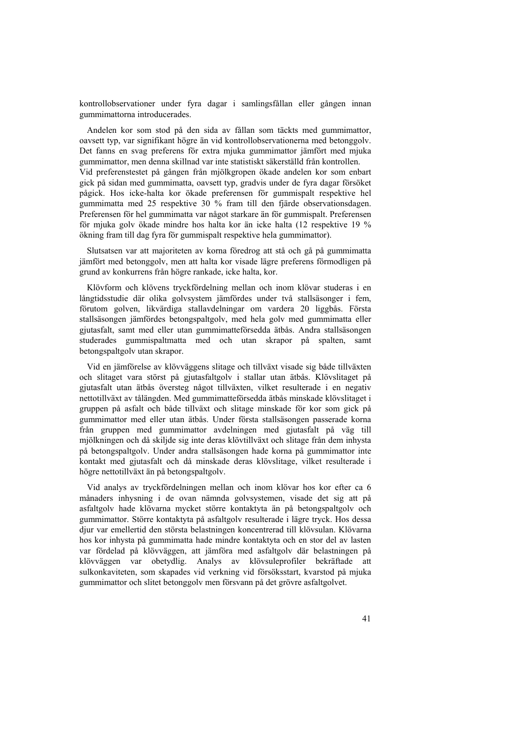kontrollobservationer under fyra dagar i samlingsfållan eller gången innan gummimattorna introducerades.

Andelen kor som stod på den sida av fållan som täckts med gummimattor, oavsett typ, var signifikant högre än vid kontrollobservationerna med betonggolv. Det fanns en svag preferens för extra mjuka gummimattor jämfört med mjuka gummimattor, men denna skillnad var inte statistiskt säkerställd från kontrollen. Vid preferenstestet på gången från mjölkgropen ökade andelen kor som enbart gick på sidan med gummimatta, oavsett typ, gradvis under de fyra dagar försöket pågick. Hos icke-halta kor ökade preferensen för gummispalt respektive hel gummimatta med 25 respektive 30 % fram till den fjärde observationsdagen. Preferensen för hel gummimatta var något starkare än för gummispalt. Preferensen för mjuka golv ökade mindre hos halta kor än icke halta (12 respektive 19 % ökning fram till dag fyra för gummispalt respektive hela gummimattor).

Slutsatsen var att majoriteten av korna föredrog att stå och gå på gummimatta jämfört med betonggolv, men att halta kor visade lägre preferens förmodligen på grund av konkurrens från högre rankade, icke halta, kor.

Klövform och klövens tryckfördelning mellan och inom klövar studeras i en långtidsstudie där olika golvsystem jämfördes under två stallsäsonger i fem, förutom golven, likvärdiga stallavdelningar om vardera 20 liggbås. Första stallsäsongen jämfördes betongspaltgolv, med hela golv med gummimatta eller gjutasfalt, samt med eller utan gummimatteförsedda ätbås. Andra stallsäsongen studerades gummispaltmatta med och utan skrapor på spalten, samt betongspaltgolv utan skrapor.

Vid en jämförelse av klövväggens slitage och tillväxt visade sig både tillväxten och slitaget vara störst på gjutasfaltgolv i stallar utan ätbås. Klövslitaget på gjutasfalt utan ätbås översteg något tillväxten, vilket resulterade i en negativ nettotillväxt av tålängden. Med gummimatteförsedda ätbås minskade klövslitaget i gruppen på asfalt och både tillväxt och slitage minskade för kor som gick på gummimattor med eller utan ätbås. Under första stallsäsongen passerade korna från gruppen med gummimattor avdelningen med gjutasfalt på väg till mjölkningen och då skiljde sig inte deras klövtillväxt och slitage från dem inhysta på betongspaltgolv. Under andra stallsäsongen hade korna på gummimattor inte kontakt med gjutasfalt och då minskade deras klövslitage, vilket resulterade i högre nettotillväxt än på betongspaltgolv.

Vid analys av tryckfördelningen mellan och inom klövar hos kor efter ca 6 månaders inhysning i de ovan nämnda golvsystemen, visade det sig att på asfaltgolv hade klövarna mycket större kontaktyta än på betongspaltgolv och gummimattor. Större kontaktyta på asfaltgolv resulterade i lägre tryck. Hos dessa djur var emellertid den största belastningen koncentrerad till klövsulan. Klövarna hos kor inhysta på gummimatta hade mindre kontaktyta och en stor del av lasten var fördelad på klövväggen, att jämföra med asfaltgolv där belastningen på klövväggen var obetydlig. Analys av klövsuleprofiler bekräftade att sulkonkaviteten, som skapades vid verkning vid försöksstart, kvarstod på mjuka gummimattor och slitet betonggolv men försvann på det grövre asfaltgolvet.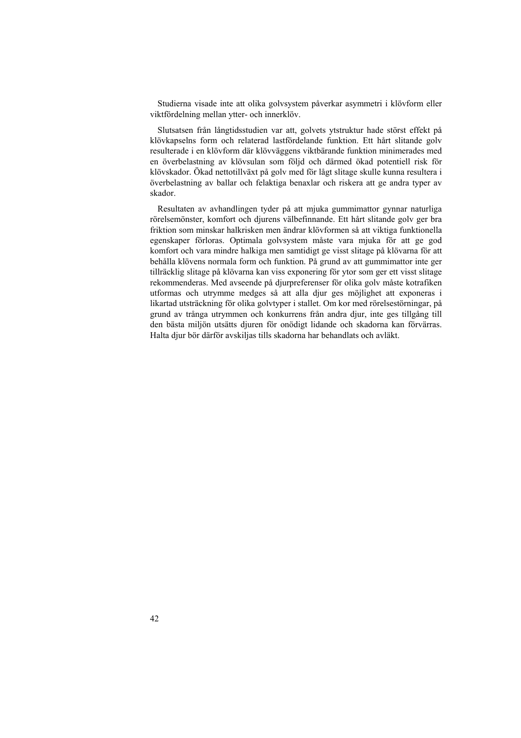Studierna visade inte att olika golvsystem påverkar asymmetri i klövform eller viktfördelning mellan ytter- och innerklöv.

Slutsatsen från långtidsstudien var att, golvets ytstruktur hade störst effekt på klövkapselns form och relaterad lastfördelande funktion. Ett hårt slitande golv resulterade i en klövform där klövväggens viktbärande funktion minimerades med en överbelastning av klövsulan som följd och därmed ökad potentiell risk för klövskador. Ökad nettotillväxt på golv med för lågt slitage skulle kunna resultera i överbelastning av ballar och felaktiga benaxlar och riskera att ge andra typer av skador.

Resultaten av avhandlingen tyder på att mjuka gummimattor gynnar naturliga rörelsemönster, komfort och djurens välbefinnande. Ett hårt slitande golv ger bra friktion som minskar halkrisken men ändrar klövformen så att viktiga funktionella egenskaper förloras. Optimala golvsystem måste vara mjuka för att ge god komfort och vara mindre halkiga men samtidigt ge visst slitage på klövarna för att behålla klövens normala form och funktion. På grund av att gummimattor inte ger tillräcklig slitage på klövarna kan viss exponering för ytor som ger ett visst slitage rekommenderas. Med avseende på djurpreferenser för olika golv måste kotrafiken utformas och utrymme medges så att alla djur ges möjlighet att exponeras i likartad utsträckning för olika golvtyper i stallet. Om kor med rörelsestörningar, på grund av trånga utrymmen och konkurrens från andra djur, inte ges tillgång till den bästa miljön utsätts djuren för onödigt lidande och skadorna kan förvärras. Halta djur bör därför avskiljas tills skadorna har behandlats och avläkt.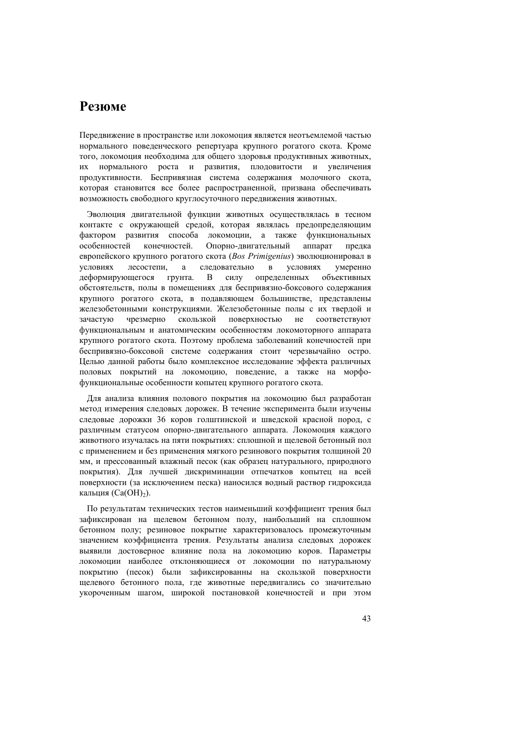## **Резюме**

Передвижение в пространстве или локомоция является неотъемлемой частью нормального поведенческого репертуара крупного рогатого скота. Кроме того, локомоция необходима для общего здоровья продуктивных животных, их нормального роста и развития, плодовитости и увеличения продуктивности. Беспривязная система содержания молочного скота, которая становится все более распространенной, призвана обеспечивать возможность свободного круглосуточного передвижения животных.

Эволюция двигательной функции животных осуществлялась в тесном контакте с окружающей средой, которая являлась предопределяющим фактором развития способа локомоции, а также функциональных особенностей конечностей. Опорно-двигательный аппарат предка европейского крупного рогатого скота (*Bos Primigenius*) эволюционировал в условиях лесостепи, а следовательно в условиях умеренно деформирующегося грунта. В силу определенных объективных обстоятельств, полы в помещениях для беспривязно-боксового содержания крупного рогатого скота, в подавляющем большинстве, представлены железобетонными конструкциями. Железобетонные полы с их твердой и зачастую чрезмерно скользкой поверхностью не соответствуют функциональным и анатомическим особенностям локомоторного аппарата крупного рогатого скота. Поэтому проблема заболеваний конечностей при беспривязно-боксовой системе содержания стоит черезвычайно остро. Целью данной работы было комплексное исследование эффекта различных половых покрытий на локомоцию, поведение, а также на морфофункциональные особенности копытец крупного рогатого скота.

Для анализа влияния полового покрытия на локомоцию был разработан метод измерения следовых дорожек. В течение эксперимента были изучены следовые дорожки 36 коров голштинской и шведской красной пород, с различным статусом опорно-двигательного аппарата. Локомоция каждого животного изучалась на пяти покрытиях: сплошной и щелевой бетонный пол с применением и без применения мягкого резинового покрытия толщиной 20 мм, и прессованный влажный песок (как образец натурального, природного покрытия). Для лучшей дискриминации отпечатков копытец на всей поверхности (за исключением песка) наносился водный раствор гидроксида кальция  $(Ca(OH<sub>2</sub>)).$ 

По результатам технических тестов наименьший коэффициент трения был зафиксирован на щелевом бетонном полу, наибольший на сплошном бетонном полу; резиновое покрытие характеризовалось промежуточным значением коэффициента трения. Результаты анализа следовых дорожек выявили достоверное влияние пола на локомоцию коров. Параметры локомоции наиболее отклоняющиеся от локомоции по натуральному покрытию (песок) были зафиксированны на скользкой поверхности щелевого бетонного пола, где животные передвигались со значительно укороченным шагом, широкой постановкой конечностей и при этом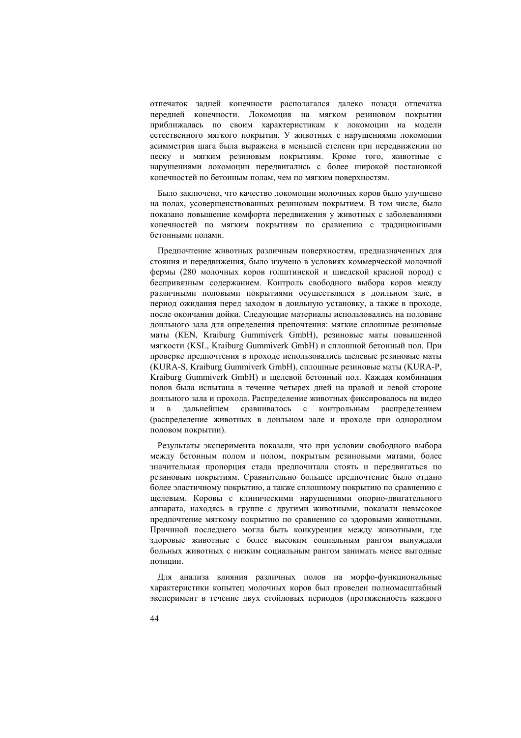отпечаток задней конечности располагался далеко позади отпечатка передней конечности. Локомоция на мягком резиновом покрытии приближалась по своим характеристикам к локомоции на модели естественного мягкого покрытия. У животных с нарушениями локомоции асимметрия шага была выражена в меньшей степени при передвижении по песку и мягким резиновым покрытиям. Кроме того, животные с нарушениями локомоции передвигались с более широкой постановкой конечностей по бетонным полам, чем по мягким поверхностям.

Было заключено, что качество локомоции молочных коров было улучшено на полах, усовершенствованных резиновым покрытием. В том числе, было показано повышение комфорта передвижения у животных с заболеваниями конечностей по мягким покрытиям по сравнению с традиционными бетонными полами.

Предпочтение животных различным поверхностям, предназначенных для стояния и передвижения, было изучено в условиях коммерческой молочной фермы (280 молочных коров голштинской и шведской красной пород) с беспривязным содержанием. Контроль свободного выбора коров между различными половыми покрытиями осуществлялся в доильном зале, в период ожидания перед заходом в доильную установку, а также в проходе, после окончания дойки. Следующие материалы использовались на половине доильного зала для определения препочтения: мягкие сплошные резиновые маты (КЕN, Kraiburg Gummiverk GmbH), резиновые маты повышенной мягкости (KSL, Kraiburg Gummiverk GmbH) и сплошной бетонный пол. При проверке предпочтения в проходе использовались щелевые резиновые маты (KURA-S, Kraiburg Gummiverk GmbH), сплошные резиновые маты (KURA-P, Kraiburg Gummiverk GmbH) и щелевой бетонный пол. Каждая комбинация полов была испытана в течение четырех дней на правой и левой стороне доильного зала и прохода. Распределение животных фиксировалось на видео и в дальнейшем сравнивалось с контрольным распределением (распределение животных в доильном зале и проходе при однородном половом покрытии).

Результаты эксперимента показали, что при условии свободного выбора между бетонным полом и полом, покрытым резиновыми матами, более значительная пропорция стада предпочитала стоять и передвигаться по резиновым покрытиям. Сравнительно большее предпочтение было отдано более эластичному покрытию, а также сплошному покрытию по сравнению с щелевым. Коровы с клиническими нарушениями опорно-двигательного аппарата, находясь в группе с другими животными, показали невысокое предпочтение мягкому покрытию по сравнению со здоровыми животными. Причиной последнего могла быть конкуренция между животными, где здоровые животные с более высоким социальным рангом вынуждали больных животных с низким социальным рангом занимать менее выгодные позиции.

Для анализа влияния различных полов на морфо-функциональные характеристики копытец молочных коров был проведен полномасштабный эксперимент в течение двух стойловых периодов (протяженность каждого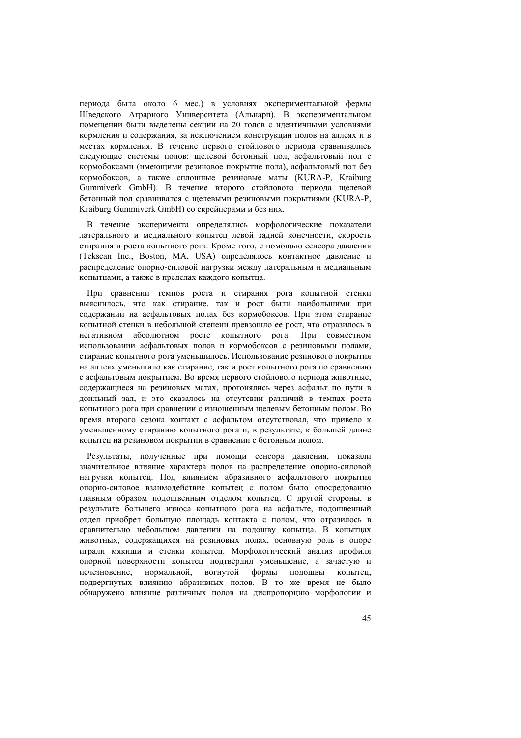периода была около 6 мес.) в условиях экспериментальной фермы Шведского Аграрного Университета (Альнарп). В экспериментальном помещении были выделены секции на 20 голов с идентичными условиями кормления и содержания, за исключением конструкции полов на аллеях и в местах кормления. В течение первого стойлового периода сравнивались следующие системы полов: щелевой бетонный пол, асфальтовый пол с кормобоксами (имеющими резиновое покрытие пола), асфальтовый пол без кормобоксов, а также сплошные резиновые маты (KURA-P, Kraiburg Gummiverk GmbH). В течение второго стойлового периода щелевой бетонный пол сравнивался с щелевыми резиновыми покрытиями (KURA-P, Kraiburg Gummiverk GmbH) со скрейперами и без них.

В течение эксперимента определялись морфологические показатели латерального и медиального копытец левой задней конечности, скорость стирания и роста копытного рога. Кроме того, с помощью сенсора давления (Tekscan Inc., Boston, MA, USА) определялось контактное давление и распределение опорно-силовой нагрузки между латеральным и медиальным копытцами, а также в пределах каждого копытца.

При сравнении темпов роста и стирания рога копытной стенки выяснилось, что как стирание, так и рост были наибольшими при содержании на асфальтовых полах без кормобоксов. При этом стирание копытной стенки в небольшой степени превзошло ее рост, что отразилось в негативном абсолютном росте копытного рога. При совместном использовании асфальтовых полов и кормобоксов с резиновыми полами, стирание копытного рога уменьшилось. Использование резинового покрытия на аллеях уменьшило как стирание, так и рост копытного рога по сравнению с асфальтовым покрытием. Во время первого стойлового периода животные, содержащиеся на резиновых матах, прогонялись через асфальт по пути в доильный зал, и это сказалось на отсутсвии различий в темпах роста копытного рога при сравнении с изношенным щелевым бетонным полом. Во время второго сезона контакт с асфальтом отсутствовал, что привело к уменьшенному стиранию копытного рога и, в результате, к большей длине копытец на резиновом покрытии в сравнении с бетонным полом.

Результаты, полученные при помощи сенсора давления, показали значительное влияние характера полов на распределение опорно-силовой нагрузки копытец. Под влиянием абразивного асфальтового покрытия опорно-силовое взаимодействие копытец с полом было опосредованно главным образом подошвенным отделом копытец. С другой стороны, в результате большего износа копытного рога на асфальте, подошвенный отдел приобрел большую площадь контакта с полом, что отразилось в сравнительно небольшом давлении на подошву копытца. В копытцах животных, содержащихся на резиновых полах, основную роль в опоре играли мякиши и стенки копытец. Морфологический анализ профиля опорной поверхности копытец подтвердил уменьшение, а зачастую и исчезновение, нормальной, вогнутой формы подошвы копытец, подвергнутых влиянию абразивных полов. В то же время не было обнаружено влияние различных полов на диспропорцию морфологии и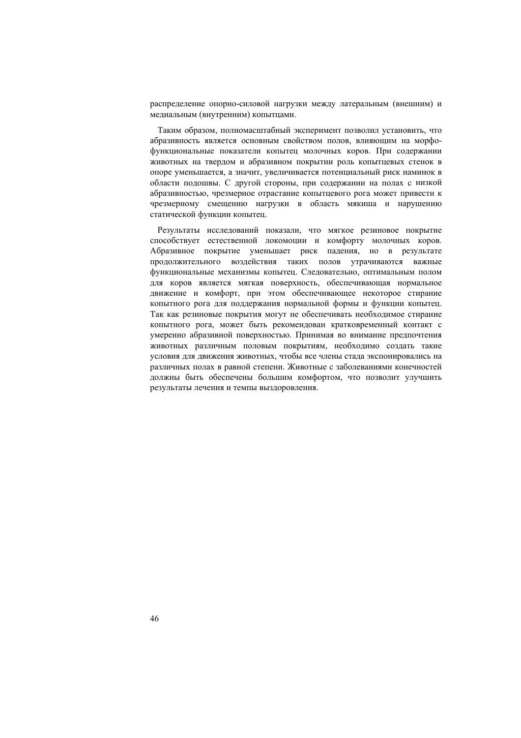распределение опорно-силовой нагрузки между латеральным (внешним) и медиальным (внутренним) копытцами.

Таким образом, полномасштабный эксперимент позволил установить, что абразивность является основным свойством полов, влияющим на морфофункциональные показатели копытец молочных коров. При содержании животных на твердом и абразивном покрытии роль копытцевых стенок в опоре уменьшается, а значит, увеличивается потенциальный риск наминок в области подошвы. С другой стороны, при содержании на полах с низкой абразивностью, чрезмерное отрастание копытцевого рога может привести к чрезмерному смещению нагрузки в область мякиша и нарушению статической функции копытец.

Результаты исследований показали, что мягкое резиновое покрытие способствует естественной локомоции и комфорту молочных коров. Абразивное покрытие уменьшает риск падения, но в результате продолжительного воздействия таких полов утрачиваются важные функциональные механизмы копытец. Следовательно, оптимальным полом для коров является мягкая поверхность, обеспечивающая нормальное движение и комфорт, при этом обеспечивающее некоторое стирание копытного рога для поддержания нормальной формы и функции копытец. Так как резиновые покрытия могут не обеспечивать необходимое стирание копытного рога, может быть рекомендован кратковременный контакт с умеренно абразивной поверхностью. Принимая во внимание предпочтения животных различным половым покрытиям, необходимо создать такие условия для движения животных, чтобы все члены стада экспонировались на различных полах в равной степени. Животные с заболеваниями конечностей должны быть обеспечены большим комфортом, что позволит улучшить результаты лечения и темпы выздоровления.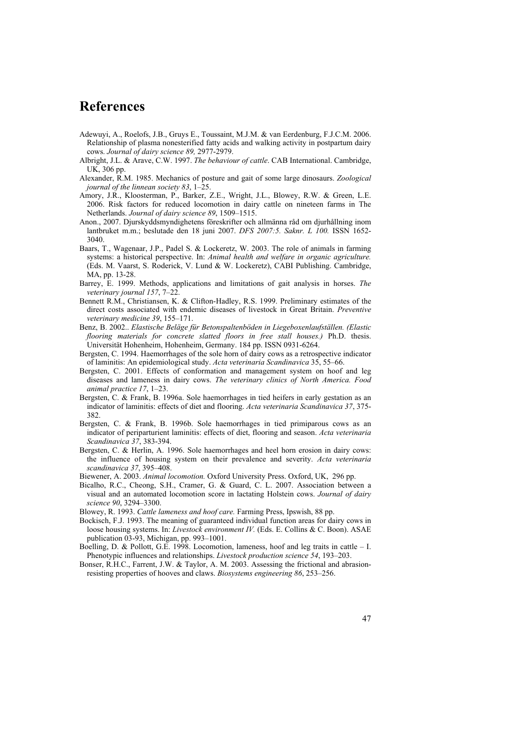## **References**

- Adewuyi, A., Roelofs, J.B., Gruys E., Toussaint, M.J.M. & van Eerdenburg, F.J.C.M. 2006. Relationship of plasma nonesterified fatty acids and walking activity in postpartum dairy cows. *Journal of dairy science 89,* 2977-2979.
- Albright, J.L. & Arave, C.W. 1997. *The behaviour of cattle*. CAB International. Cambridge, UK, 306 pp.
- Alexander, R.M. 1985. Mechanics of posture and gait of some large dinosaurs. *Zoological journal of the linnean society 83*, 1–25.
- Amory, J.R., Kloosterman, P., Barker, Z.E., Wright, J.L., Blowey, R.W. & Green, L.E. 2006. Risk factors for reduced locomotion in dairy cattle on nineteen farms in The Netherlands. *Journal of dairy science 89*, 1509–1515.
- Anon., 2007. Djurskyddsmyndighetens föreskrifter och allmänna råd om djurhållning inom lantbruket m.m.; beslutade den 18 juni 2007. *DFS 2007:5. Saknr. L 100.* ISSN 1652- 3040.
- Baars, T., Wagenaar, J.P., Padel S. & Lockeretz, W. 2003. The role of animals in farming systems: a historical perspective. In: *Animal health and welfare in organic agriculture.*  (Eds. M. Vaarst, S. Roderick, V. Lund & W. Lockeretz), CABI Publishing. Cambridge, MA, pp. 13-28.
- Barrey, E. 1999. Methods, applications and limitations of gait analysis in horses. *The veterinary journal 157*, 7–22.
- Bennett R.M., Christiansen, K. & Clifton-Hadley, R.S. 1999. Preliminary estimates of the direct costs associated with endemic diseases of livestock in Great Britain. *Preventive veterinary medicine 39*, 155–171.
- Benz, B. 2002.. *Elastische Beläge für Betonspaltenböden in Liegeboxenlaufställen. (Elastic flooring materials for concrete slatted floors in free stall houses.)* Ph.D. thesis. Universität Hohenheim, Hohenheim, Germany. 184 pp. ISSN 0931-6264.
- Bergsten, C. 1994. Haemorrhages of the sole horn of dairy cows as a retrospective indicator of laminitis: An epidemiological study. *Acta veterinaria Scandinavica* 35, 55–66.
- Bergsten, C. 2001. Effects of conformation and management system on hoof and leg diseases and lameness in dairy cows. *The veterinary clinics of North America. Food animal practice 17*, 1–23.
- Bergsten, C. & Frank, B. 1996a. Sole haemorrhages in tied heifers in early gestation as an indicator of laminitis: effects of diet and flooring. *Acta veterinaria Scandinavica 37*, 375- 382.
- Bergsten, C. & Frank, B. 1996b. Sole haemorrhages in tied primiparous cows as an indicator of periparturient laminitis: effects of diet, flooring and season. *Acta veterinaria Scandinavica 37*, 383-394.
- Bergsten, C. & Herlin, A. 1996. Sole haemorrhages and heel horn erosion in dairy cows: the influence of housing system on their prevalence and severity. *Acta veterinaria scandinavica 37*, 395–408.
- Biewener, A. 2003. *Animal locomotion.* Oxford University Press. Oxford, UK, 296 pp.
- Bicalho, R.C., Cheong, S.H., Cramer, G. & Guard, C. L. 2007. Association between a visual and an automated locomotion score in lactating Holstein cows. *Journal of dairy science 90*, 3294–3300.

Blowey, R. 1993. *Cattle lameness and hoof care.* Farming Press, Ipswish, 88 pp.

- Bockisch, F.J. 1993. The meaning of guaranteed individual function areas for dairy cows in loose housing systems. In: *Livestock environment IV.* (Eds. E. Collins & C. Boon). ASAE publication 03-93, Michigan, pp. 993–1001.
- Boelling, D. & Pollott, G.E. 1998. Locomotion, lameness, hoof and leg traits in cattle I. Phenotypic influences and relationships. *Livestock production science 54*, 193–203.
- Bonser, R.H.C., Farrent, J.W. & Taylor, A. M. 2003. Assessing the frictional and abrasionresisting properties of hooves and claws. *Biosystems engineering 86*, 253–256.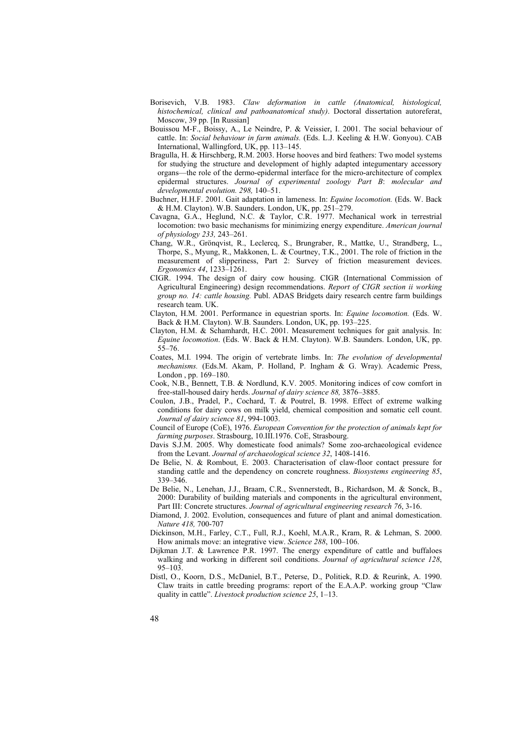- Borisevich, V.B. 1983. *Claw deformation in cattle (Anatomical, histological, histochemical, clinical and pathoanatomical study)*. Doctoral dissertation autoreferat, Moscow, 39 pp. [In Russian]
- Bouissou M-F., Boissy, A., Le Neindre, P. & Veissier, I. 2001. The social behaviour of cattle. In: *Social behaviour in farm animals.* (Eds. L.J. Keeling & H.W. Gonyou). CAB International, Wallingford, UK, pp. 113–145.
- Bragulla, H. & Hirschberg, R.M. 2003. Horse hooves and bird feathers: Two model systems for studying the structure and development of highly adapted integumentary accessory organs—the role of the dermo-epidermal interface for the micro-architecture of complex epidermal structures. *Journal of experimental zoology Part B*: *molecular and developmental evolution. 298,* 140–51.
- Buchner, H.H.F. 2001. Gait adaptation in lameness. In: *Equine locomotion.* (Eds. W. Back & H.M. Clayton). W.B. Saunders. London, UK, pp. 251–279.
- Cavagna, G.A., Heglund, N.C. & Taylor, C.R. 1977. Mechanical work in terrestrial locomotion: two basic mechanisms for minimizing energy expenditure. *American journal of physiology 233,* 243–261.
- Chang, W.R., Grönqvist, R., Leclercq, S., Brungraber, R., Mattke, U., Strandberg, L., Thorpe, S., Myung, R., Makkonen, L. & Courtney, T.K., 2001. The role of friction in the measurement of slipperiness, Part 2: Survey of friction measurement devices. *Ergonomics 44*, 1233–1261.
- CIGR. 1994. The design of dairy cow housing. CIGR (International Commission of Agricultural Engineering) design recommendations. *Report of CIGR section ii working group no. 14: cattle housing.* Publ. ADAS Bridgets dairy research centre farm buildings research team. UK.
- Clayton, H.M. 2001. Performance in equestrian sports. In: *Equine locomotion.* (Eds. W. Back & H.M. Clayton). W.B. Saunders. London, UK, pp. 193–225.
- Clayton, H.M. & Schamhardt, H.C. 2001. Measurement techniques for gait analysis. In: *Equine locomotion*. (Eds. W. Back & H.M. Clayton). W.B. Saunders. London, UK, pp. 55–76.
- Coates, M.I. 1994. The origin of vertebrate limbs. In: *The evolution of developmental mechanisms.* (Eds.M. Akam, P. Holland, P. Ingham & G. Wray). Academic Press, London , pp. 169–180.
- Cook, N.B., Bennett, T.B. & Nordlund, K.V. 2005. Monitoring indices of cow comfort in free-stall-housed dairy herds. *Journal of dairy science 88,* 3876–3885.
- Coulon, J.B., Pradel, P., Cochard, T. & Poutrel, B. 1998. Effect of extreme walking conditions for dairy cows on milk yield, chemical composition and somatic cell count. *Journal of dairy science 81*, 994-1003.
- Council of Europe (CoE), 1976. *European Convention for the protection of animals kept for farming purposes*. Strasbourg, 10.III.1976. CoE, Strasbourg.
- Davis S.J.M. 2005. Why domesticate food animals? Some zoo-archaeological evidence from the Levant. *Journal of archaeological science 32*, 1408-1416.
- De Belie, N. & Rombout, E. 2003. Characterisation of claw-floor contact pressure for standing cattle and the dependency on concrete roughness. *Biosystems engineering 85*, 339–346.
- De Belie, N., Lenehan, J.J., Braam, C.R., Svennerstedt, B., Richardson, M. & Sonck, B., 2000: Durability of building materials and components in the agricultural environment, Part III: Concrete structures. *Journal of agricultural engineering research 76*, 3-16.
- Diamond, J. 2002. Evolution, consequences and future of plant and animal domestication. *Nature 418,* 700-707
- Dickinson, M.H., Farley, C.T., Full, R.J., Koehl, M.A.R., Kram, R. & Lehman, S. 2000. How animals move: an integrative view. *Science 288*, 100–106.
- Dijkman J.T. & Lawrence P.R. 1997. The energy expenditure of cattle and buffaloes walking and working in different soil conditions. *Journal of agricultural science 128*, 95–103.
- Distl, O., Koorn, D.S., McDaniel, B.T., Peterse, D., Politiek, R.D. & Reurink, A. 1990. Claw traits in cattle breeding programs: report of the E.A.A.P. working group "Claw quality in cattle". *Livestock production science 25*, 1–13.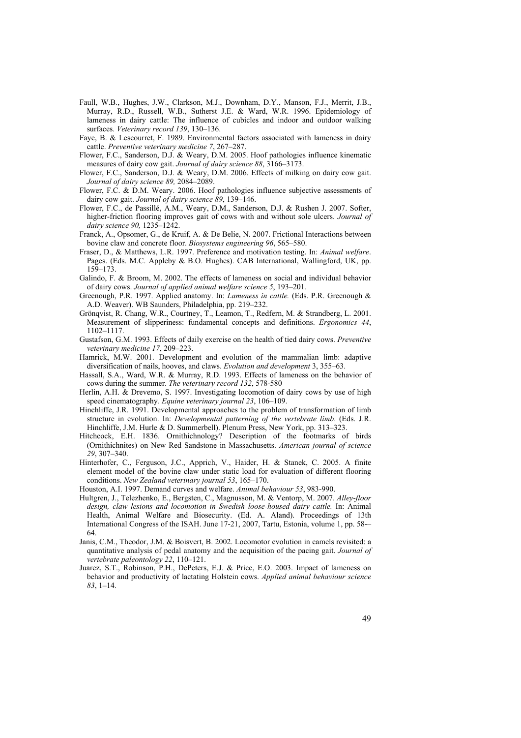- Faull, W.B., Hughes, J.W., Clarkson, M.J., Downham, D.Y., Manson, F.J., Merrit, J.B., Murray, R.D., Russell, W.B., Sutherst J.E. & Ward, W.R. 1996. Epidemiology of lameness in dairy cattle: The influence of cubicles and indoor and outdoor walking surfaces. *Veterinary record 139*, 130–136.
- Faye, B. & Lescourret, F. 1989. Environmental factors associated with lameness in dairy cattle. *Preventive veterinary medicine 7*, 267–287.
- Flower, F.C., Sanderson, D.J. & Weary, D.M. 2005. Hoof pathologies influence kinematic measures of dairy cow gait. *Journal of dairy science 88*, 3166–3173.
- Flower, F.C., Sanderson, D.J. & Weary, D.M. 2006. Effects of milking on dairy cow gait. *Journal of dairy science 89,* 2084–2089.
- Flower, F.C. & D.M. Weary. 2006. Hoof pathologies influence subjective assessments of dairy cow gait. *Journal of dairy science 89*, 139–146.
- Flower, F.C., de Passillé, A.M., Weary, D.M., Sanderson, D.J. & Rushen J. 2007. Softer, higher-friction flooring improves gait of cows with and without sole ulcers. *Journal of dairy science 90,* 1235–1242.
- Franck, A., Opsomer, G., de Kruif, A. & De Belie, N. 2007. Frictional Interactions between bovine claw and concrete floor. *Biosystems engineering 96*, 565–580.
- Fraser, D., & Matthews, L.R. 1997. Preference and motivation testing. In: *Animal welfare*. Pages. (Eds. M.C. Appleby & B.O. Hughes). CAB International, Wallingford, UK, pp. 159–173.
- Galindo, F. & Broom, M. 2002. The effects of lameness on social and individual behavior of dairy cows. *Journal of applied animal welfare science 5*, 193–201.
- Greenough, P.R. 1997. Applied anatomy. In: *Lameness in cattle.* (Eds. P.R. Greenough & A.D. Weaver). WB Saunders, Philadelphia, pp. 219–232.
- Grönqvist, R. Chang, W.R., Courtney, T., Leamon, T., Redfern, M. & Strandberg, L. 2001. Measurement of slipperiness: fundamental concepts and definitions. *Ergonomics 44*, 1102–1117.
- Gustafson, G.M. 1993. Effects of daily exercise on the health of tied dairy cows. *Preventive veterinary medicine 17*, 209–223.
- Hamrick, M.W. 2001. Development and evolution of the mammalian limb: adaptive diversification of nails, hooves, and claws. *Evolution and development* 3, 355–63.
- Hassall, S.A., Ward, W.R. & Murray, R.D. 1993. Effects of lameness on the behavior of cows during the summer. *The veterinary record 132*, 578-580
- Herlin, A.H. & Drevemo, S. 1997. Investigating locomotion of dairy cows by use of high speed cinematography. *Equine veterinary journal 23*, 106–109.
- Hinchliffe, J.R. 1991. Developmental approaches to the problem of transformation of limb structure in evolution. In: *Developmental patterning of the vertebrate limb*. (Eds. J.R. Hinchliffe, J.M. Hurle & D. Summerbell). Plenum Press, New York, pp. 313–323.
- Hitchcock, E.H. 1836. Ornithichnology? Description of the footmarks of birds (Ornithichnites) on New Red Sandstone in Massachusetts. *American journal of science 29*, 307–340.
- Hinterhofer, C., Ferguson, J.C., Apprich, V., Haider, H. & Stanek, C. 2005. A finite element model of the bovine claw under static load for evaluation of different flooring conditions. *New Zealand veterinary journal 53*, 165–170.

Houston, A.I. 1997. Demand curves and welfare. *Animal behaviour 53*, 983-990.

- Hultgren, J., Telezhenko, E., Bergsten, C., Magnusson, M. & Ventorp, M. 2007. *Alley-floor design, claw lesions and locomotion in Swedish loose-housed dairy cattle.* In: Animal Health, Animal Welfare and Biosecurity. (Ed. A. Aland). Proceedings of 13th International Congress of the ISAH. June 17-21, 2007, Tartu, Estonia, volume 1, pp. 58-– 64.
- Janis, C.M., Theodor, J.M. & Boisvert, B. 2002. Locomotor evolution in camels revisited: a quantitative analysis of pedal anatomy and the acquisition of the pacing gait. *Journal of vertebrate paleontology 22*, 110–121.
- Juarez, S.T., Robinson, P.H., DePeters, E.J. & Price, E.O. 2003. Impact of lameness on behavior and productivity of lactating Holstein cows. *Applied animal behaviour science 83*, 1–14.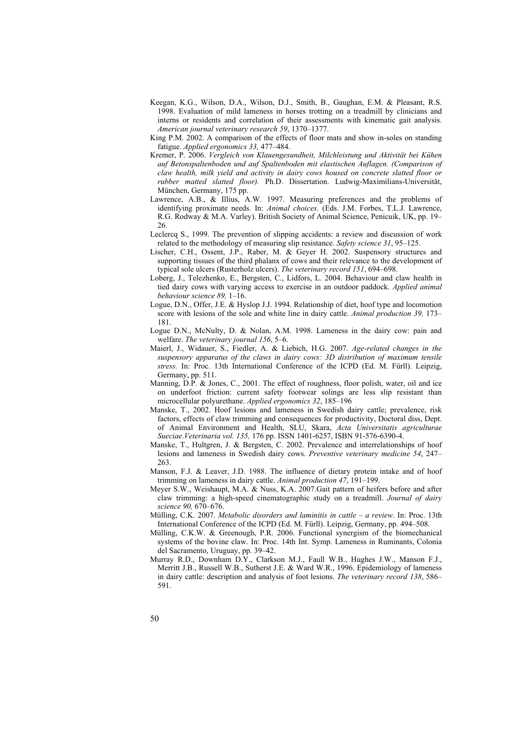- Keegan, K.G., Wilson, D.A., Wilson, D.J., Smith, B., Gaughan, E.M. & Pleasant, R.S. 1998. Evaluation of mild lameness in horses trotting on a treadmill by clinicians and interns or residents and correlation of their assessments with kinematic gait analysis. *American journal veterinary research 59*, 1370–1377.
- King P.M. 2002. A comparison of the effects of floor mats and show in-soles on standing fatigue. *Applied ergonomics 33,* 477–484.
- Kremer, P. 2006. *Vergleich von Klauengesundheit, Milchleistung und Aktivität bei Kühen auf Betonspaltenboden und auf Spaltenboden mit elastischen Auflagen. (Comparison of claw health, milk yield and activity in dairy cows housed on concrete slatted floor or rubber matted slatted floor).* Ph.D. Dissertation. Ludwig-Maximilians-Universität, München, Germany, 175 pp.
- Lawrence, A.B., & Illius, A.W. 1997. Measuring preferences and the problems of identifying proximate needs. In: *Animal choices*. (Eds. J.M. Forbes, T.L.J. Lawrence, R.G. Rodway & M.A. Varley). British Society of Animal Science, Penicuik, UK, pp. 19– 26.
- Leclercq S., 1999. The prevention of slipping accidents: a review and discussion of work related to the methodology of measuring slip resistance. *Safety science 31*, 95–125.
- Lischer, C.H., Ossent, J.P., Raber, M. & Geyer H. 2002. Suspensory structures and supporting tissues of the third phalanx of cows and their relevance to the development of typical sole ulcers (Rusterholz ulcers). *The veterinary record 151*, 694–698.
- Loberg, J., Telezhenko, E., Bergsten, C., Lidfors, L. 2004. Behaviour and claw health in tied dairy cows with varying access to exercise in an outdoor paddock. *Applied animal behaviour science 89,* 1–16.
- Logue, D.N., Offer, J.E. & Hyslop J.J. 1994. Relationship of diet, hoof type and locomotion score with lesions of the sole and white line in dairy cattle. *Animal production 39,* 173– 181.
- Logue D.N., McNulty, D. & Nolan, A.M. 1998. Lameness in the dairy cow: pain and welfare. *The veterinary journal 156*, 5–6.
- Maierl, J., Widauer, S., Fiedler, A. & Liebich, H.G. 2007. *Age-related changes in the suspensory apparatus of the claws in dairy cows: 3D distribution of maximum tensile stress.* In: Proc. 13th International Conference of the ICPD (Ed. M. Fürll). Leipzig, Germany, pp. 511.
- Manning, D.P. & Jones, C., 2001. The effect of roughness, floor polish, water, oil and ice on underfoot friction: current safety footwear solings are less slip resistant than microcellular polyurethane. *Applied ergonomics 32*, 185–196
- Manske, T., 2002. Hoof lesions and lameness in Swedish dairy cattle; prevalence, risk factors, effects of claw trimming and consequences for productivity, Doctoral diss, Dept. of Animal Environment and Health, SLU, Skara, *Acta Universitatis agriculturae Sueciae*.*Veterinaria vol. 135,* 176 pp. ISSN 1401-6257, ISBN 91-576-6390-4.
- Manske, T., Hultgren, J. & Bergsten, C. 2002. Prevalence and interrelationships of hoof lesions and lameness in Swedish dairy cows. *Preventive veterinary medicine 54*, 247– 263.
- Manson, F.J. & Leaver, J.D. 1988. The influence of dietary protein intake and of hoof trimming on lameness in dairy cattle. *Animal production 47*, 191–199.
- Meyer S.W., Weishaupt, M.A. & Nuss, K.A. 2007.Gait pattern of heifers before and after claw trimming: a high-speed cinematographic study on a treadmill. *Journal of dairy science 90,* 670–676.
- Mülling, C.K. 2007. *Metabolic disorders and laminitis in cattle a review*. In: Proc. 13th International Conference of the ICPD (Ed. M. Fürll). Leipzig, Germany, pp. 494–508.
- Mülling, C.K.W. & Greenough, P.R. 2006. Functional synergism of the biomechanical systems of the bovine claw. In: Proc. 14th Int. Symp. Lameness in Ruminants, Colonia del Sacramento, Uruguay, pp. 39–42.
- Murray R.D., Downham D.Y., Clarkson M.J., Faull W.B., Hughes J.W., Manson F.J., Merritt J.B., Russell W.B., Sutherst J.E. & Ward W.R., 1996. Epidemiology of lameness in dairy cattle: description and analysis of foot lesions. *The veterinary record 138*, 586– 591.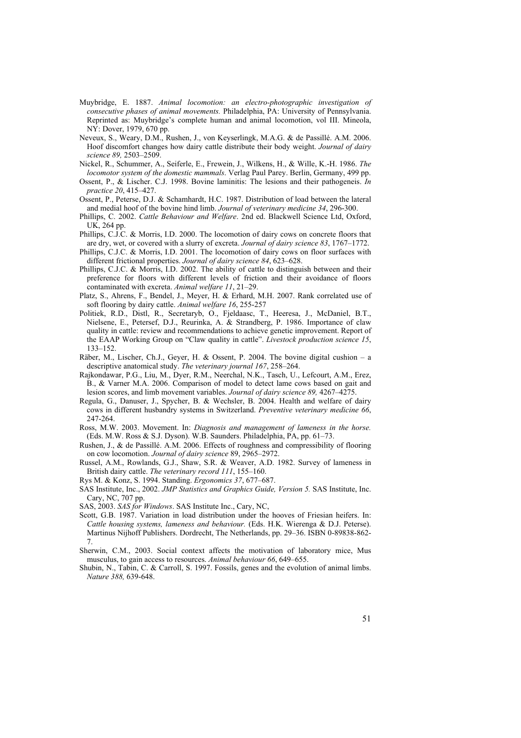- Muybridge, E. 1887. *Animal locomotion: an electro-photographic investigation of consecutive phases of animal movements.* Philadelphia, PA: University of Pennsylvania. Reprinted as: Muybridge's complete human and animal locomotion, vol III. Mineola, NY: Dover, 1979, 670 pp.
- Neveux, S., Weary, D.M., Rushen, J., von Keyserlingk, M.A.G. & de Passillé. A.M. 2006. Hoof discomfort changes how dairy cattle distribute their body weight. *Journal of dairy science 89,* 2503–2509.
- Nickel, R., Schummer, A., Seiferle, E., Frewein, J., Wilkens, H., & Wille, K.-H. 1986. *The locomotor system of the domestic mammals*. Verlag Paul Parey. Berlin, Germany, 499 pp.
- Ossent, P., & Lischer. C.J. 1998. Bovine laminitis: The lesions and their pathogeneis. *In practice 20*, 415–427.
- Ossent, P., Peterse, D.J. & Schamhardt, H.C. 1987. Distribution of load between the lateral and medial hoof of the bovine hind limb. *Journal of veterinary medicine 34*, 296-300.
- Phillips, C. 2002. *Cattle Behaviour and Welfare*. 2nd ed. Blackwell Science Ltd, Oxford, UK, 264 pp.
- Phillips, C.J.C. & Morris, I.D. 2000. The locomotion of dairy cows on concrete floors that are dry, wet, or covered with a slurry of excreta. *Journal of dairy science 83*, 1767–1772.
- Phillips, C.J.C. & Morris, I.D. 2001. The locomotion of dairy cows on floor surfaces with different frictional properties. *Journal of dairy science 84*, 623–628.
- Phillips, C.J.C. & Morris, I.D. 2002. The ability of cattle to distinguish between and their preference for floors with different levels of friction and their avoidance of floors contaminated with excreta. *Animal welfare 11*, 21–29.
- Platz, S., Ahrens, F., Bendel, J., Meyer, H. & Erhard, M.H. 2007. Rank correlated use of soft flooring by dairy cattle. *Animal welfare 16*, 255-257
- Politiek, R.D., Distl, R., Secretaryb, O., Fjeldaasc, T., Heeresa, J., McDaniel, B.T., Nielsene, E., Petersef, D.J., Reurinka, A. & Strandberg, P. 1986. Importance of claw quality in cattle: review and recommendations to achieve genetic improvement. Report of the EAAP Working Group on "Claw quality in cattle". *Livestock production science 15*, 133–152.
- Räber, M., Lischer, Ch.J., Geyer, H. & Ossent, P. 2004. The bovine digital cushion a descriptive anatomical study. *The veterinary journal 167*, 258–264.
- Rajkondawar, P.G., Liu, M., Dyer, R.M., Neerchal, N.K., Tasch, U., Lefcourt, A.M., Erez, B., & Varner M.A. 2006. Comparison of model to detect lame cows based on gait and lesion scores, and limb movement variables. *Journal of dairy science 89,* 4267–4275.
- Regula, G., Danuser, J., Spycher, B. & Wechsler, B. 2004. Health and welfare of dairy cows in different husbandry systems in Switzerland. *Preventive veterinary medicine 66*, 247-264.
- Ross, M.W. 2003. Movement. In: *Diagnosis and management of lameness in the horse.*  (Eds. M.W. Ross & S.J. Dyson). W.B. Saunders. Philadelphia, PA, pp. 61–73.
- Rushen, J., & de Passillé. A.M. 2006. Effects of roughness and compressibility of flooring on cow locomotion. *Journal of dairy science* 89, 2965–2972.
- Russel, A.M., Rowlands, G.J., Shaw, S.R. & Weaver, A.D. 1982. Survey of lameness in British dairy cattle. *The veterinary record 111*, 155–160.
- Rys M. & Konz, S. 1994. Standing. *Ergonomics 37*, 677–687.
- SAS Institute, Inc., 2002. *JMP Statistics and Graphics Guide, Version 5.* SAS Institute, Inc. Cary, NC, 707 pp.
- SAS, 2003. *SAS for Windows*. SAS Institute Inc., Cary, NC,
- Scott, G.B. 1987. Variation in load distribution under the hooves of Friesian heifers. In: *Cattle housing systems, lameness and behaviour.* (Eds. H.K. Wierenga & D.J. Peterse). Martinus Nijhoff Publishers. Dordrecht, The Netherlands, pp. 29–36. ISBN 0-89838-862- 7.
- Sherwin, C.M., 2003. Social context affects the motivation of laboratory mice, Mus musculus, to gain access to resources. *Animal behaviour 66*, 649–655.
- Shubin, N., Tabin, C. & Carroll, S. 1997. Fossils, genes and the evolution of animal limbs. *Nature 388,* 639-648.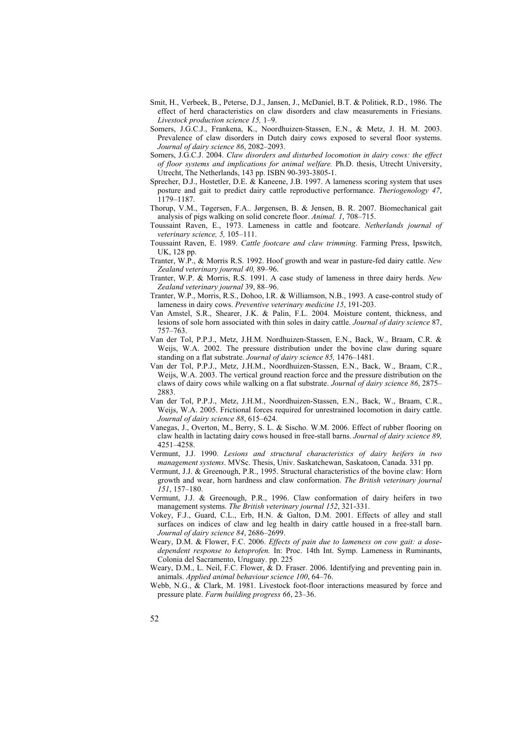- Smit, H., Verbeek, B., Peterse, D.J., Jansen, J., McDaniel, B.T. & Politiek, R.D., 1986. The effect of herd characteristics on claw disorders and claw measurements in Friesians. *Livestock production science 15,* 1–9.
- Somers, J.G.C.J., Frankena, K., Noordhuizen-Stassen, E.N., & Metz, J. H. M. 2003. Prevalence of claw disorders in Dutch dairy cows exposed to several floor systems. *Journal of dairy science 86*, 2082–2093.
- Somers, J.G.C.J. 2004. *Claw disorders and disturbed locomotion in dairy cows: the effect of floor systems and implications for animal welfare.* Ph.D. thesis, Utrecht University, Utrecht, The Netherlands, 143 pp. ISBN 90-393-3805-1.
- Sprecher, D.J., Hostetler, D.E. & Kaneene, J.B. 1997. A lameness scoring system that uses posture and gait to predict dairy cattle reproductive performance. *Theriogenology 47*, 1179–1187.
- Thorup, V.M., Tøgersen, F.A.. Jørgensen, B. & Jensen, B. R. 2007. Biomechanical gait analysis of pigs walking on solid concrete floor. *Animal. 1*, 708–715.
- Toussaint Raven, E., 1973. Lameness in cattle and footcare. *Netherlands journal of veterinary science, 5,* 105–111.
- Toussaint Raven, E. 1989. *Cattle footcare and claw trimming*. Farming Press, Ipswitch, UK, 128 pp.
- Tranter, W.P., & Morris R.S. 1992. Hoof growth and wear in pasture-fed dairy cattle. *New Zealand veterinary journal 40,* 89–96.
- Tranter, W.P. & Morris, R.S. 1991. A case study of lameness in three dairy herds. *New Zealand veterinary journal* 39, 88–96.
- Tranter, W.P., Morris, R.S., Dohoo, I.R. & Williamson, N.B., 1993. A case-control study of lameness in dairy cows. *Preventive veterinary medicine 15*, 191-203.
- Van Amstel, S.R., Shearer, J.K. & Palin, F.L. 2004. Moisture content, thickness, and lesions of sole horn associated with thin soles in dairy cattle. *Journal of dairy science* 87, 757–763.
- Van der Tol, P.P.J., Metz, J.H.M. Nordhuizen-Stassen, E.N., Back, W., Braam, C.R. & Weijs, W.A. 2002. The pressure distribution under the bovine claw during square standing on a flat substrate. *Journal of dairy science 85,* 1476–1481.
- Van der Tol, P.P.J., Metz, J.H.M., Noordhuizen-Stassen, E.N., Back, W., Braam, C.R., Weijs, W.A. 2003. The vertical ground reaction force and the pressure distribution on the claws of dairy cows while walking on a flat substrate. *Journal of dairy science 86*, 2875– 2883.
- Van der Tol, P.P.J., Metz, J.H.M., Noordhuizen-Stassen, E.N., Back, W., Braam, C.R., Weijs, W.A. 2005. Frictional forces required for unrestrained locomotion in dairy cattle. *Journal of dairy science 88*, 615–624.
- Vanegas, J., Overton, M., Berry, S. L. & Sischo. W.M. 2006. Effect of rubber flooring on claw health in lactating dairy cows housed in free-stall barns. *Journal of dairy science 89,* 4251–4258.
- Vermunt, J.J. 1990. *Lesions and structural characteristics of dairy heifers in two management systems*. MVSc. Thesis, Univ. Saskatchewan, Saskatoon, Canada. 331 pp.
- Vermunt, J.J. & Greenough, P.R., 1995. Structural characteristics of the bovine claw: Horn growth and wear, horn hardness and claw conformation. *The British veterinary journal 151*, 157–180.
- Vermunt, J.J. & Greenough, P.R., 1996. Claw conformation of dairy heifers in two management systems. *The British veterinary journal 152*, 321-331.
- Vokey, F.J., Guard, C.L., Erb, H.N. & Galton, D.M. 2001. Effects of alley and stall surfaces on indices of claw and leg health in dairy cattle housed in a free-stall barn. *Journal of dairy science 84*, 2686–2699.
- Weary, D.M. & Flower, F.C. 2006. *Effects of pain due to lameness on cow gait: a dosedependent response to ketoprofen.* In: Proc. 14th Int. Symp. Lameness in Ruminants, Colonia del Sacramento, Uruguay. pp. 225
- Weary, D.M., L. Neil, F.C. Flower, & D. Fraser. 2006. Identifying and preventing pain in. animals. *Applied animal behaviour science 100*, 64–76.
- Webb, N.G., & Clark, M. 1981. Livestock foot-floor interactions measured by force and pressure plate. *Farm building progress 66*, 23–36.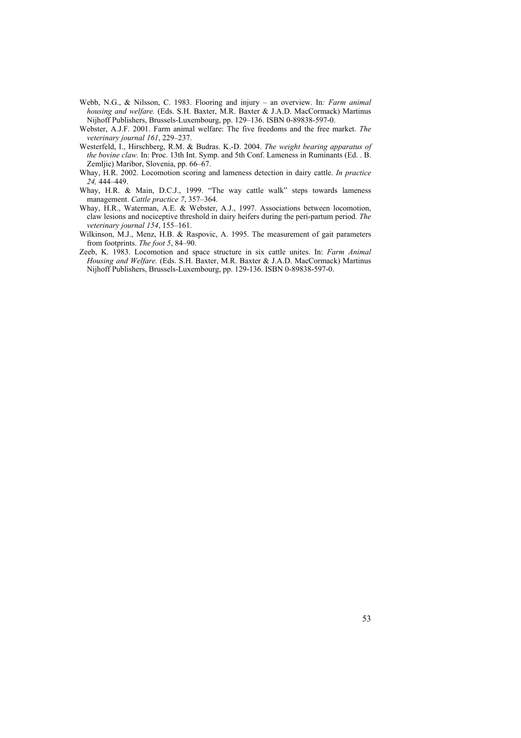- Webb, N.G., & Nilsson, C. 1983. Flooring and injury an overview. In*: Farm animal housing and welfare.* (Eds. S.H. Baxter, M.R. Baxter & J.A.D. MacCormack) Martinus Nijhoff Publishers, Brussels-Luxembourg, pp. 129–136. ISBN 0-89838-597-0.
- Webster, A.J.F. 2001. Farm animal welfare: The five freedoms and the free market. *The veterinary journal 161*, 229–237.
- Westerfeld, I., Hirschberg, R.M. & Budras. K.-D. 2004. *The weight bearing apparatus of the bovine claw.* In: Proc. 13th Int. Symp. and 5th Conf. Lameness in Ruminants (Ed. . B. Zemljic) Maribor, Slovenia, pp. 66–67.
- Whay, H.R. 2002. Locomotion scoring and lameness detection in dairy cattle. *In practice 24,* 444–449.
- Whay, H.R. & Main, D.C.J., 1999. "The way cattle walk" steps towards lameness management. *Cattle practice 7*, 357–364.
- Whay, H.R., Waterman, A.E. & Webster, A.J., 1997. Associations between locomotion, claw lesions and nociceptive threshold in dairy heifers during the peri-partum period. *The veterinary journal 154*, 155–161.
- Wilkinson, M.J., Menz, H.B. & Raspovic, A. 1995. The measurement of gait parameters from footprints. *The foot 5*, 84–90.
- Zeeb, K. 1983. Locomotion and space structure in six cattle unites. In: *Farm Animal Housing and Welfare.* (Eds. S.H. Baxter, M.R. Baxter & J.A.D. MacCormack) Martinus Nijhoff Publishers, Brussels-Luxembourg, pp. 129-136. ISBN 0-89838-597-0.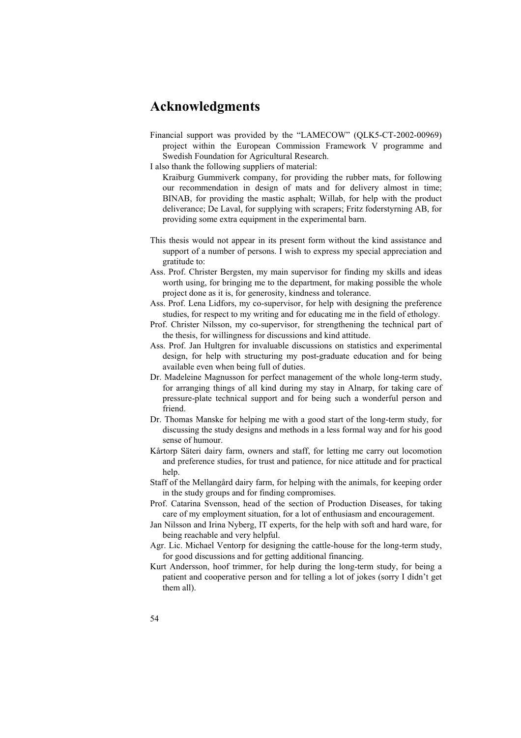## **Acknowledgments**

- Financial support was provided by the "LAMECOW" (QLK5-CT-2002-00969) project within the European Commission Framework V programme and Swedish Foundation for Agricultural Research.
- I also thank the following suppliers of material:
	- Kraiburg Gummiverk company, for providing the rubber mats, for following our recommendation in design of mats and for delivery almost in time; BINAB, for providing the mastic asphalt; Willab, for help with the product deliverance; De Laval, for supplying with scrapers; Fritz foderstyrning AB, for providing some extra equipment in the experimental barn.
- This thesis would not appear in its present form without the kind assistance and support of a number of persons. I wish to express my special appreciation and gratitude to:
- Ass. Prof. Christer Bergsten, my main supervisor for finding my skills and ideas worth using, for bringing me to the department, for making possible the whole project done as it is, for generosity, kindness and tolerance.
- Ass. Prof. Lena Lidfors, my co-supervisor, for help with designing the preference studies, for respect to my writing and for educating me in the field of ethology.
- Prof. Christer Nilsson, my co-supervisor, for strengthening the technical part of the thesis, for willingness for discussions and kind attitude.
- Ass. Prof. Jan Hultgren for invaluable discussions on statistics and experimental design, for help with structuring my post-graduate education and for being available even when being full of duties.
- Dr. Madeleine Magnusson for perfect management of the whole long-term study, for arranging things of all kind during my stay in Alnarp, for taking care of pressure-plate technical support and for being such a wonderful person and friend.
- Dr. Thomas Manske for helping me with a good start of the long-term study, for discussing the study designs and methods in a less formal way and for his good sense of humour.
- Kårtorp Säteri dairy farm, owners and staff, for letting me carry out locomotion and preference studies, for trust and patience, for nice attitude and for practical help.
- Staff of the Mellangård dairy farm, for helping with the animals, for keeping order in the study groups and for finding compromises.
- Prof. Catarina Svensson, head of the section of Production Diseases, for taking care of my employment situation, for a lot of enthusiasm and encouragement.
- Jan Nilsson and Irina Nyberg, IT experts, for the help with soft and hard ware, for being reachable and very helpful.
- Agr. Lic. Michael Ventorp for designing the cattle-house for the long-term study, for good discussions and for getting additional financing.
- Kurt Andersson, hoof trimmer, for help during the long-term study, for being a patient and cooperative person and for telling a lot of jokes (sorry I didn't get them all).